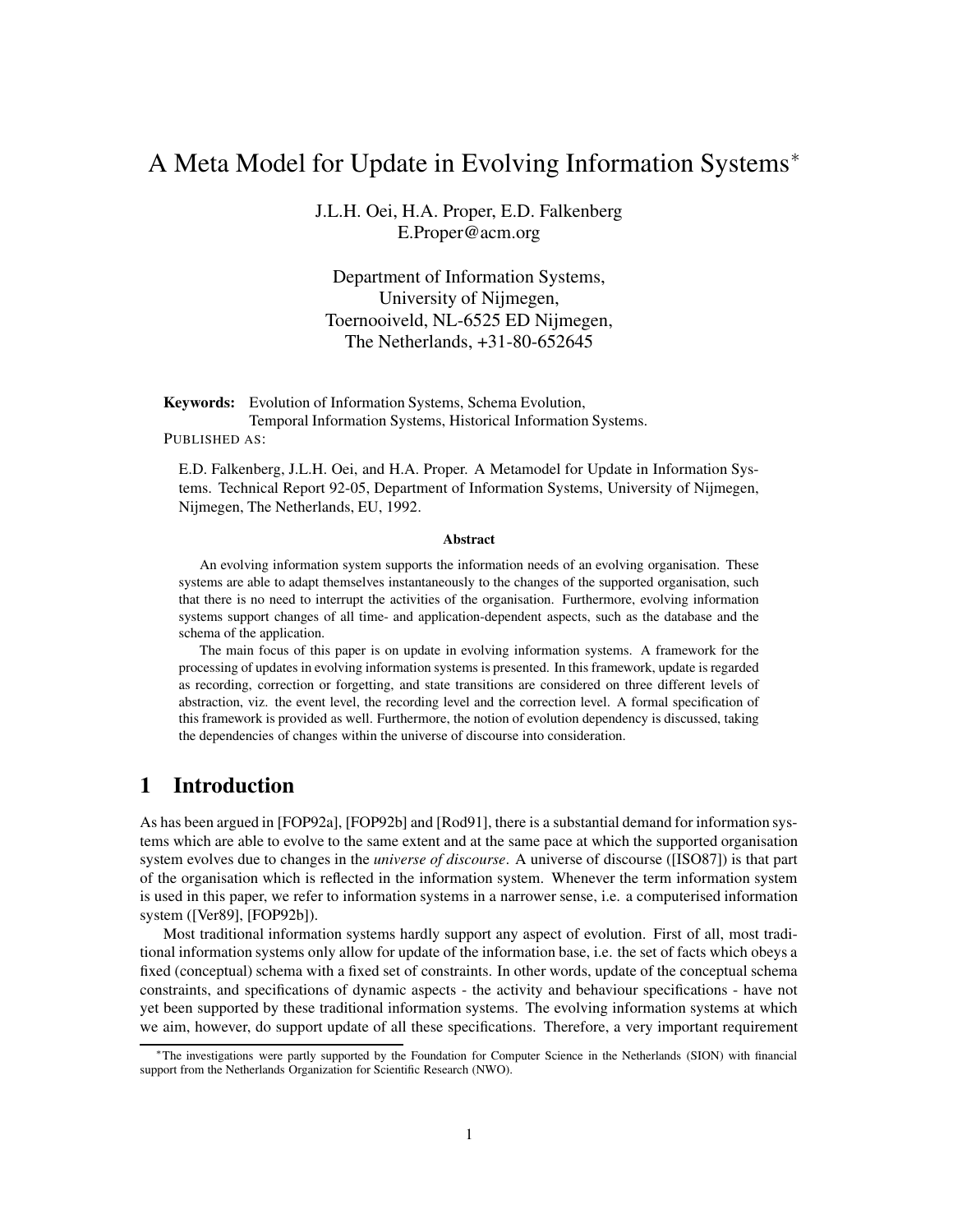# A Meta Model for Update in Evolving Information Systems<sup>∗</sup>

J.L.H. Oei, H.A. Proper, E.D. Falkenberg E.Proper@acm.org

Department of Information Systems, University of Nijmegen, Toernooiveld, NL-6525 ED Nijmegen, The Netherlands, +31-80-652645

**Keywords:** Evolution of Information Systems, Schema Evolution, Temporal Information Systems, Historical Information Systems.

PUBLISHED AS:

E.D. Falkenberg, J.L.H. Oei, and H.A. Proper. A Metamodel for Update in Information Systems. Technical Report 92-05, Department of Information Systems, University of Nijmegen, Nijmegen, The Netherlands, EU, 1992.

#### **Abstract**

An evolving information system supports the information needs of an evolving organisation. These systems are able to adapt themselves instantaneously to the changes of the supported organisation, such that there is no need to interrupt the activities of the organisation. Furthermore, evolving information systems support changes of all time- and application-dependent aspects, such as the database and the schema of the application.

The main focus of this paper is on update in evolving information systems. A framework for the processing of updates in evolving information systems is presented. In this framework, update is regarded as recording, correction or forgetting, and state transitions are considered on three different levels of abstraction, viz. the event level, the recording level and the correction level. A formal specification of this framework is provided as well. Furthermore, the notion of evolution dependency is discussed, taking the dependencies of changes within the universe of discourse into consideration.

### **1 Introduction**

As has been argued in [FOP92a], [FOP92b] and [Rod91], there is a substantial demand for information systems which are able to evolve to the same extent and at the same pace at which the supported organisation system evolves due to changes in the *universe of discourse*. A universe of discourse ([ISO87]) is that part of the organisation which is reflected in the information system. Whenever the term information system is used in this paper, we refer to information systems in a narrower sense, i.e. a computerised information system ([Ver89], [FOP92b]).

Most traditional information systems hardly support any aspect of evolution. First of all, most traditional information systems only allow for update of the information base, i.e. the set of facts which obeys a fixed (conceptual) schema with a fixed set of constraints. In other words, update of the conceptual schema constraints, and specifications of dynamic aspects - the activity and behaviour specifications - have not yet been supported by these traditional information systems. The evolving information systems at which we aim, however, do support update of all these specifications. Therefore, a very important requirement

<sup>∗</sup>The investigations were partly supported by the Foundation for Computer Science in the Netherlands (SION) with financial support from the Netherlands Organization for Scientific Research (NWO).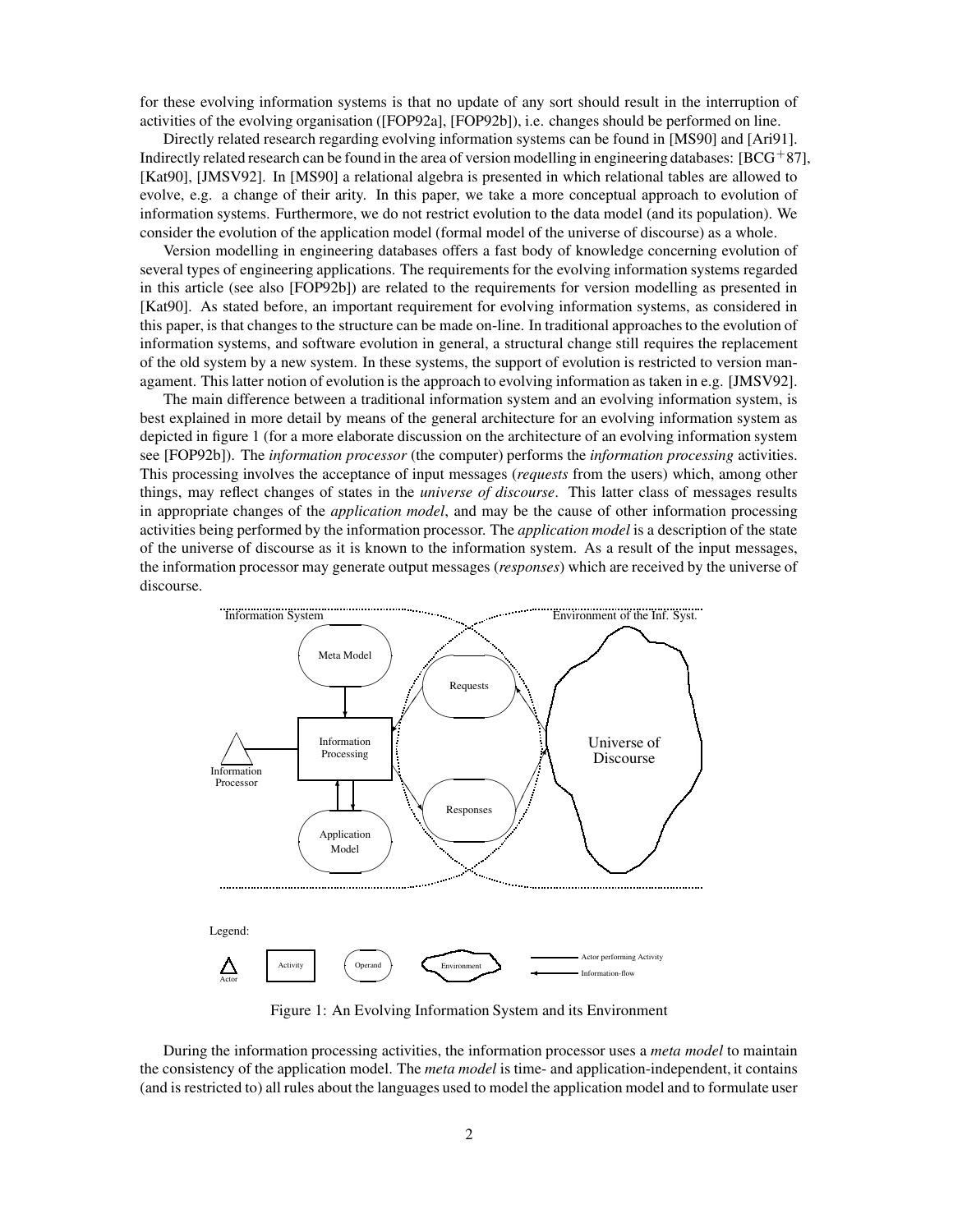for these evolving information systems is that no update of any sort should result in the interruption of activities of the evolving organisation ([FOP92a], [FOP92b]), i.e. changes should be performed on line.

Directly related research regarding evolving information systems can be found in [MS90] and [Ari91]. Indirectly related research can be found in the area of version modelling in engineering databases:  $[BCG^+87]$ , [Kat90], [JMSV92]. In [MS90] a relational algebra is presented in which relational tables are allowed to evolve, e.g. a change of their arity. In this paper, we take a more conceptual approach to evolution of information systems. Furthermore, we do not restrict evolution to the data model (and its population). We consider the evolution of the application model (formal model of the universe of discourse) as a whole.

Version modelling in engineering databases offers a fast body of knowledge concerning evolution of several types of engineering applications. The requirements for the evolving information systems regarded in this article (see also [FOP92b]) are related to the requirements for version modelling as presented in [Kat90]. As stated before, an important requirement for evolving information systems, as considered in this paper, is that changes to the structure can be made on-line. In traditional approaches to the evolution of information systems, and software evolution in general, a structural change still requires the replacement of the old system by a new system. In these systems, the support of evolution is restricted to version managament. This latter notion of evolution is the approach to evolving information as taken in e.g. [JMSV92].

The main difference between a traditional information system and an evolving information system, is best explained in more detail by means of the general architecture for an evolving information system as depicted in figure 1 (for a more elaborate discussion on the architecture of an evolving information system see [FOP92b]). The *information processor* (the computer) performs the *information processing* activities. This processing involves the acceptance of input messages (*requests* from the users) which, among other things, may reflect changes of states in the *universe of discourse*. This latter class of messages results in appropriate changes of the *application model*, and may be the cause of other information processing activities being performed by the information processor. The *application model* is a description of the state of the universe of discourse as it is known to the information system. As a result of the input messages, the information processor may generate output messages (*responses*) which are received by the universe of discourse.



Figure 1: An Evolving Information System and its Environment

During the information processing activities, the information processor uses a *meta model* to maintain the consistency of the application model. The *meta model* is time- and application-independent, it contains (and is restricted to) all rules about the languages used to model the application model and to formulate user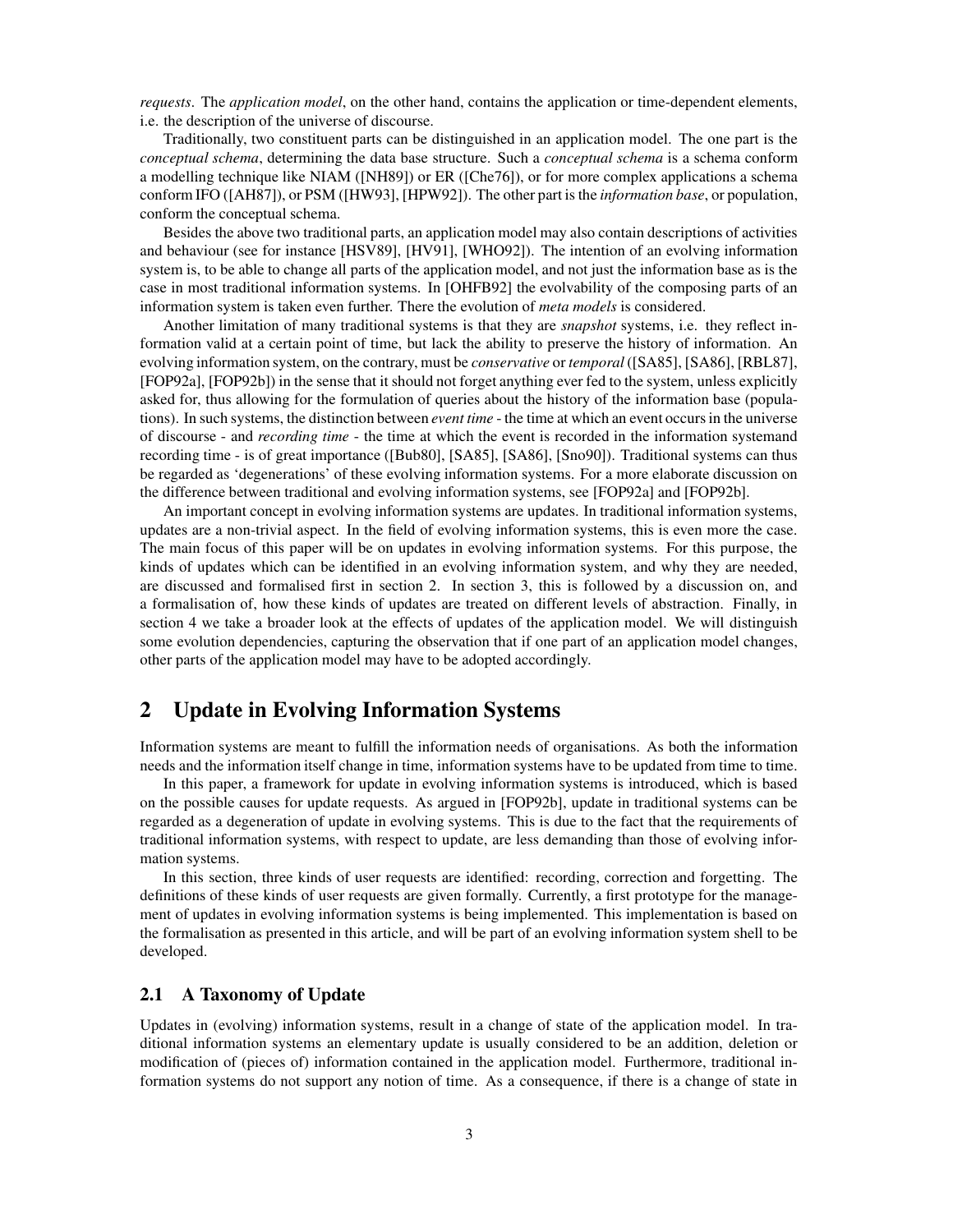*requests*. The *application model*, on the other hand, contains the application or time-dependent elements, i.e. the description of the universe of discourse.

Traditionally, two constituent parts can be distinguished in an application model. The one part is the *conceptual schema*, determining the data base structure. Such a *conceptual schema* is a schema conform a modelling technique like NIAM ([NH89]) or ER ([Che76]), or for more complex applications a schema conform IFO ([AH87]), or PSM ([HW93], [HPW92]). The other part is the *information base*, or population, conform the conceptual schema.

Besides the above two traditional parts, an application model may also contain descriptions of activities and behaviour (see for instance [HSV89], [HV91], [WHO92]). The intention of an evolving information system is, to be able to change all parts of the application model, and not just the information base as is the case in most traditional information systems. In [OHFB92] the evolvability of the composing parts of an information system is taken even further. There the evolution of *meta models* is considered.

Another limitation of many traditional systems is that they are *snapshot* systems, i.e. they reflect information valid at a certain point of time, but lack the ability to preserve the history of information. An evolving information system, on the contrary, must be *conservative* or *temporal* ([SA85], [SA86], [RBL87], [FOP92a], [FOP92b]) in the sense that it should not forget anything ever fed to the system, unless explicitly asked for, thus allowing for the formulation of queries about the history of the information base (populations). In such systems, the distinction between *event time* - the time at which an event occursin the universe of discourse - and *recording time* - the time at which the event is recorded in the information systemand recording time - is of great importance ([Bub80], [SA85], [SA86], [Sno90]). Traditional systems can thus be regarded as 'degenerations' of these evolving information systems. For a more elaborate discussion on the difference between traditional and evolving information systems, see [FOP92a] and [FOP92b].

An important concept in evolving information systems are updates. In traditional information systems, updates are a non-trivial aspect. In the field of evolving information systems, this is even more the case. The main focus of this paper will be on updates in evolving information systems. For this purpose, the kinds of updates which can be identified in an evolving information system, and why they are needed, are discussed and formalised first in section 2. In section 3, this is followed by a discussion on, and a formalisation of, how these kinds of updates are treated on different levels of abstraction. Finally, in section 4 we take a broader look at the effects of updates of the application model. We will distinguish some evolution dependencies, capturing the observation that if one part of an application model changes, other parts of the application model may have to be adopted accordingly.

### **2 Update in Evolving Information Systems**

Information systems are meant to fulfill the information needs of organisations. As both the information needs and the information itself change in time, information systems have to be updated from time to time.

In this paper, a framework for update in evolving information systems is introduced, which is based on the possible causes for update requests. As argued in [FOP92b], update in traditional systems can be regarded as a degeneration of update in evolving systems. This is due to the fact that the requirements of traditional information systems, with respect to update, are less demanding than those of evolving information systems.

In this section, three kinds of user requests are identified: recording, correction and forgetting. The definitions of these kinds of user requests are given formally. Currently, a first prototype for the management of updates in evolving information systems is being implemented. This implementation is based on the formalisation as presented in this article, and will be part of an evolving information system shell to be developed.

### **2.1 A Taxonomy of Update**

Updates in (evolving) information systems, result in a change of state of the application model. In traditional information systems an elementary update is usually considered to be an addition, deletion or modification of (pieces of) information contained in the application model. Furthermore, traditional information systems do not support any notion of time. As a consequence, if there is a change of state in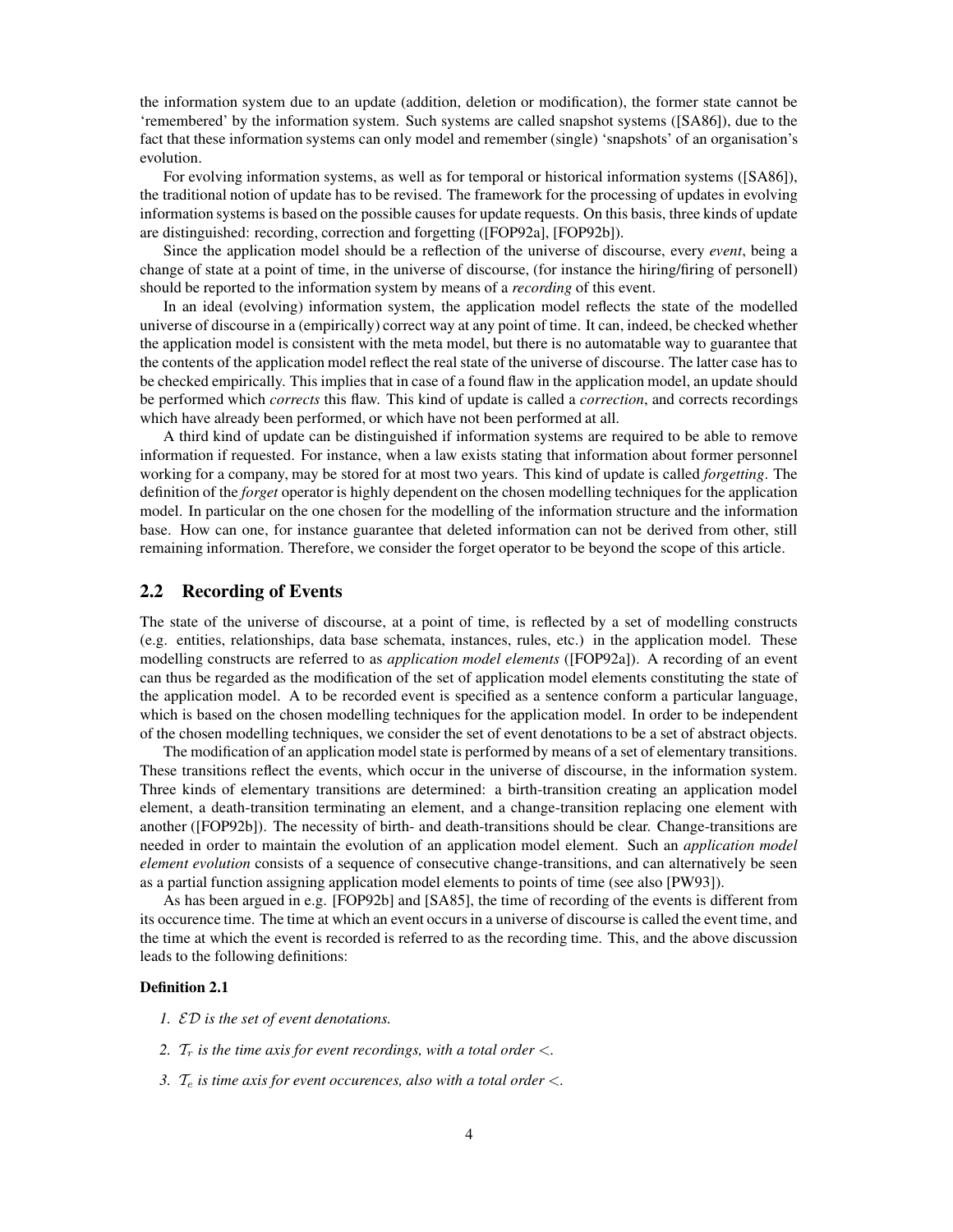the information system due to an update (addition, deletion or modification), the former state cannot be 'remembered' by the information system. Such systems are called snapshot systems ([SA86]), due to the fact that these information systems can only model and remember (single) 'snapshots' of an organisation's evolution.

For evolving information systems, as well as for temporal or historical information systems ([SA86]), the traditional notion of update has to be revised. The framework for the processing of updates in evolving information systems is based on the possible causes for update requests. On this basis, three kinds of update are distinguished: recording, correction and forgetting ([FOP92a], [FOP92b]).

Since the application model should be a reflection of the universe of discourse, every *event*, being a change of state at a point of time, in the universe of discourse, (for instance the hiring/firing of personell) should be reported to the information system by means of a *recording* of this event.

In an ideal (evolving) information system, the application model reflects the state of the modelled universe of discourse in a (empirically) correct way at any point of time. It can, indeed, be checked whether the application model is consistent with the meta model, but there is no automatable way to guarantee that the contents of the application model reflect the real state of the universe of discourse. The latter case has to be checked empirically. This implies that in case of a found flaw in the application model, an update should be performed which *corrects* this flaw. This kind of update is called a *correction*, and corrects recordings which have already been performed, or which have not been performed at all.

A third kind of update can be distinguished if information systems are required to be able to remove information if requested. For instance, when a law exists stating that information about former personnel working for a company, may be stored for at most two years. This kind of update is called *forgetting*. The definition of the *forget* operator is highly dependent on the chosen modelling techniques for the application model. In particular on the one chosen for the modelling of the information structure and the information base. How can one, for instance guarantee that deleted information can not be derived from other, still remaining information. Therefore, we consider the forget operator to be beyond the scope of this article.

#### **2.2 Recording of Events**

The state of the universe of discourse, at a point of time, is reflected by a set of modelling constructs (e.g. entities, relationships, data base schemata, instances, rules, etc.) in the application model. These modelling constructs are referred to as *application model elements* ([FOP92a]). A recording of an event can thus be regarded as the modification of the set of application model elements constituting the state of the application model. A to be recorded event is specified as a sentence conform a particular language, which is based on the chosen modelling techniques for the application model. In order to be independent of the chosen modelling techniques, we consider the set of event denotations to be a set of abstract objects.

The modification of an application model state is performed by means of a set of elementary transitions. These transitions reflect the events, which occur in the universe of discourse, in the information system. Three kinds of elementary transitions are determined: a birth-transition creating an application model element, a death-transition terminating an element, and a change-transition replacing one element with another ([FOP92b]). The necessity of birth- and death-transitions should be clear. Change-transitions are needed in order to maintain the evolution of an application model element. Such an *application model element evolution* consists of a sequence of consecutive change-transitions, and can alternatively be seen as a partial function assigning application model elements to points of time (see also [PW93]).

As has been argued in e.g. [FOP92b] and [SA85], the time of recording of the events is different from its occurence time. The time at which an event occurs in a universe of discourse is called the event time, and the time at which the event is recorded is referred to as the recording time. This, and the above discussion leads to the following definitions:

#### **Definition 2.1**

- *1.* ED *is the set of event denotations.*
- *2.*  $T_r$  *is the time axis for event recordings, with a total order*  $\lt$ *.*
- *3.* T<sup>e</sup> *is time axis for event occurences, also with a total order* <*.*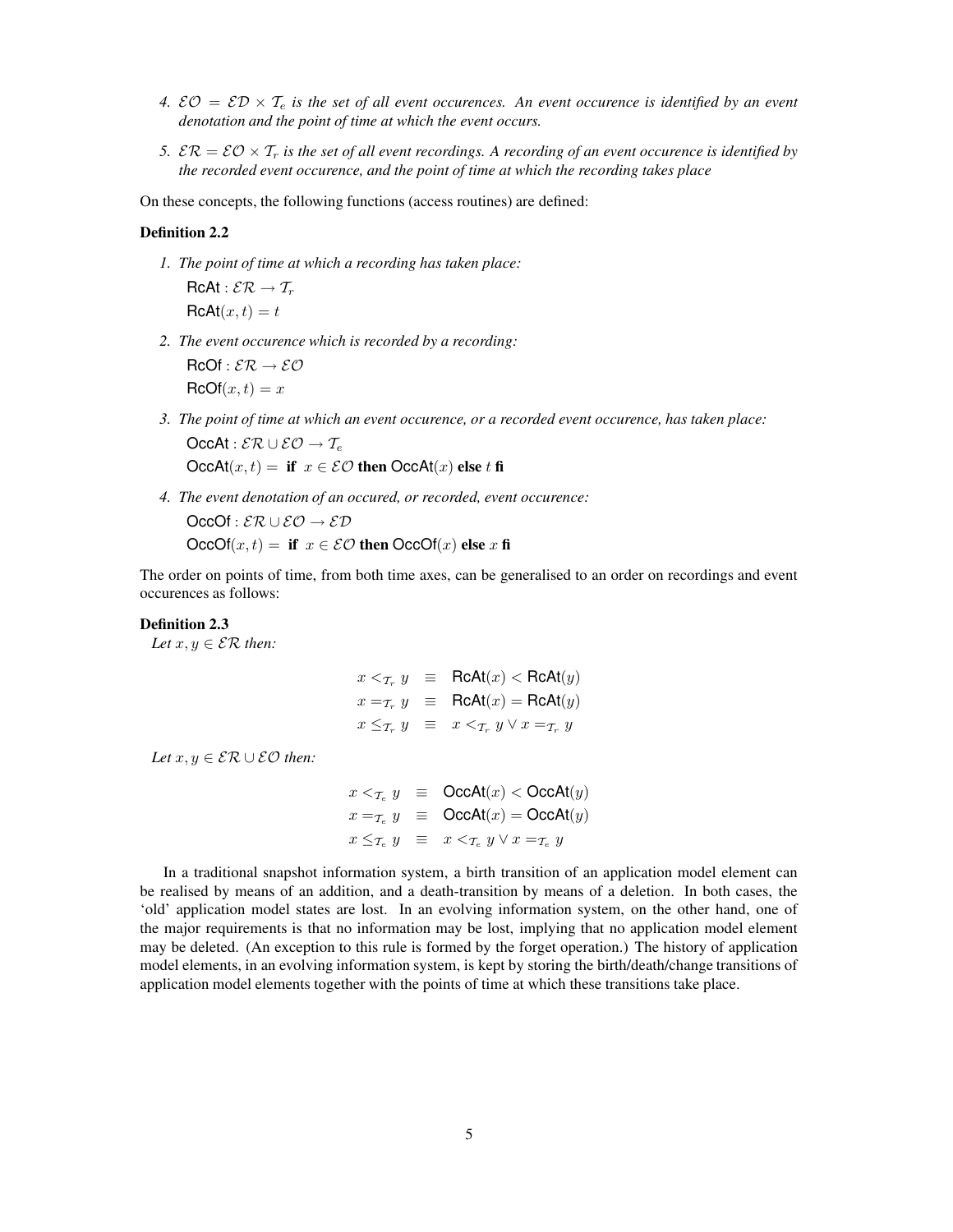- 4.  $\mathcal{EO} = \mathcal{ED} \times \mathcal{T}_e$  *is the set of all event occurences. An event occurence is identified by an event denotation and the point of time at which the event occurs.*
- 5.  $\mathcal{ER} = \mathcal{EO} \times \mathcal{T}_r$  *is the set of all event recordings. A recording of an event occurence is identified by the recorded event occurence, and the point of time at which the recording takes place*

On these concepts, the following functions (access routines) are defined:

#### **Definition 2.2**

*1. The point of time at which a recording has taken place:*

 $RCAt : \mathcal{ER} \rightarrow \mathcal{T}_r$  $RcAt(x,t) = t$ 

*2. The event occurence which is recorded by a recording:*

 $RCOf : \mathcal{ER} \rightarrow \mathcal{EO}$  $RCOf(x,t) = x$ 

- *3. The point of time at which an event occurence, or a recorded event occurence, has taken place:* OccAt :  $\mathcal{ER} \cup \mathcal{EO} \rightarrow \mathcal{T}_e$  $OccAt(x, t) =$  **if**  $x \in \mathcal{EO}$  **then**  $OccAt(x)$  **else** t **fi**
- *4. The event denotation of an occured, or recorded, event occurence:*

 $OccOf : \mathcal{ER} \cup \mathcal{EO} \rightarrow \mathcal{ED}$ OccOf $(x, t) =$  **if**  $x \in \mathcal{EO}$  **then** OccOf $(x)$  **else** x **fi** 

The order on points of time, from both time axes, can be generalised to an order on recordings and event occurences as follows:

#### **Definition 2.3**

*Let*  $x, y \in \mathcal{ER}$  *then:* 

$$
x <_{\mathcal{T}_r} y \equiv \text{RcAt}(x) < \text{RcAt}(y)
$$
  
\n
$$
x =_{\mathcal{T}_r} y \equiv \text{RcAt}(x) = \text{RcAt}(y)
$$
  
\n
$$
x \leq_{\mathcal{T}_r} y \equiv x <_{\mathcal{T}_r} y \lor x =_{\mathcal{T}_r} y
$$

*Let*  $x, y \in \mathcal{ER} \cup \mathcal{EO}$  *then:* 

$$
x <_{\mathcal{T}_e} y \equiv \text{OccAt}(x) < \text{OccAt}(y)
$$
  
\n
$$
x =_{\mathcal{T}_e} y \equiv \text{OccAt}(x) = \text{OccAt}(y)
$$
  
\n
$$
x \leq_{\mathcal{T}_e} y \equiv x <_{\mathcal{T}_e} y \lor x =_{\mathcal{T}_e} y
$$

In a traditional snapshot information system, a birth transition of an application model element can be realised by means of an addition, and a death-transition by means of a deletion. In both cases, the 'old' application model states are lost. In an evolving information system, on the other hand, one of the major requirements is that no information may be lost, implying that no application model element may be deleted. (An exception to this rule is formed by the forget operation.) The history of application model elements, in an evolving information system, is kept by storing the birth/death/change transitions of application model elements together with the points of time at which these transitions take place.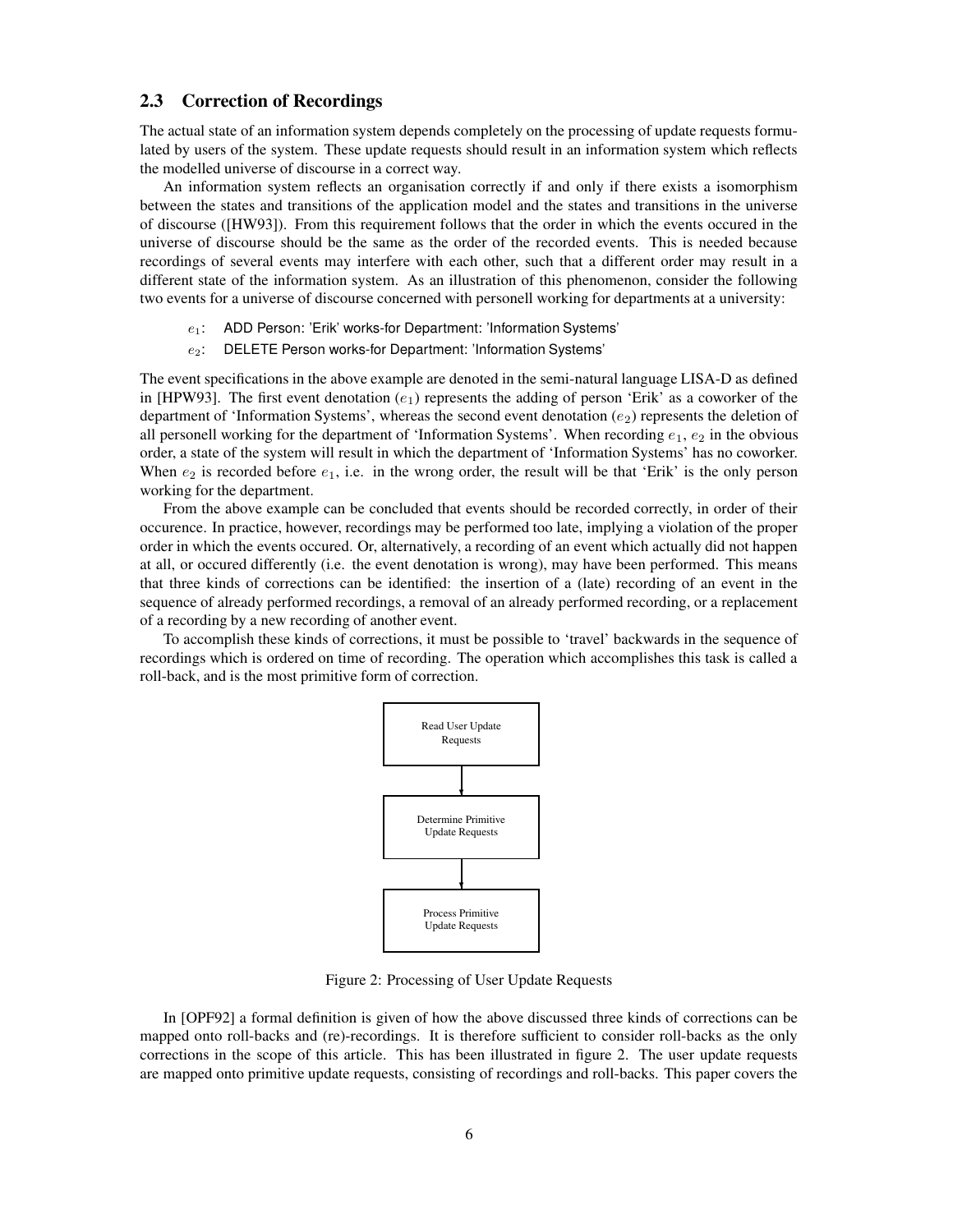#### **2.3 Correction of Recordings**

The actual state of an information system depends completely on the processing of update requests formulated by users of the system. These update requests should result in an information system which reflects the modelled universe of discourse in a correct way.

An information system reflects an organisation correctly if and only if there exists a isomorphism between the states and transitions of the application model and the states and transitions in the universe of discourse ([HW93]). From this requirement follows that the order in which the events occured in the universe of discourse should be the same as the order of the recorded events. This is needed because recordings of several events may interfere with each other, such that a different order may result in a different state of the information system. As an illustration of this phenomenon, consider the following two events for a universe of discourse concerned with personell working for departments at a university:

- $e_1$ : ADD Person: 'Erik' works-for Department: 'Information Systems'
- e<sub>2</sub>: DELETE Person works-for Department: 'Information Systems'

The event specifications in the above example are denoted in the semi-natural language LISA-D as defined in [HPW93]. The first event denotation  $(e_1)$  represents the adding of person 'Erik' as a coworker of the department of 'Information Systems', whereas the second event denotation  $(e_2)$  represents the deletion of all personell working for the department of 'Information Systems'. When recording  $e_1$ ,  $e_2$  in the obvious order, a state of the system will result in which the department of 'Information Systems' has no coworker. When  $e_2$  is recorded before  $e_1$ , i.e. in the wrong order, the result will be that 'Erik' is the only person working for the department.

From the above example can be concluded that events should be recorded correctly, in order of their occurence. In practice, however, recordings may be performed too late, implying a violation of the proper order in which the events occured. Or, alternatively, a recording of an event which actually did not happen at all, or occured differently (i.e. the event denotation is wrong), may have been performed. This means that three kinds of corrections can be identified: the insertion of a (late) recording of an event in the sequence of already performed recordings, a removal of an already performed recording, or a replacement of a recording by a new recording of another event.

To accomplish these kinds of corrections, it must be possible to 'travel' backwards in the sequence of recordings which is ordered on time of recording. The operation which accomplishes this task is called a roll-back, and is the most primitive form of correction.



Figure 2: Processing of User Update Requests

In [OPF92] a formal definition is given of how the above discussed three kinds of corrections can be mapped onto roll-backs and (re)-recordings. It is therefore sufficient to consider roll-backs as the only corrections in the scope of this article. This has been illustrated in figure 2. The user update requests are mapped onto primitive update requests, consisting of recordings and roll-backs. This paper covers the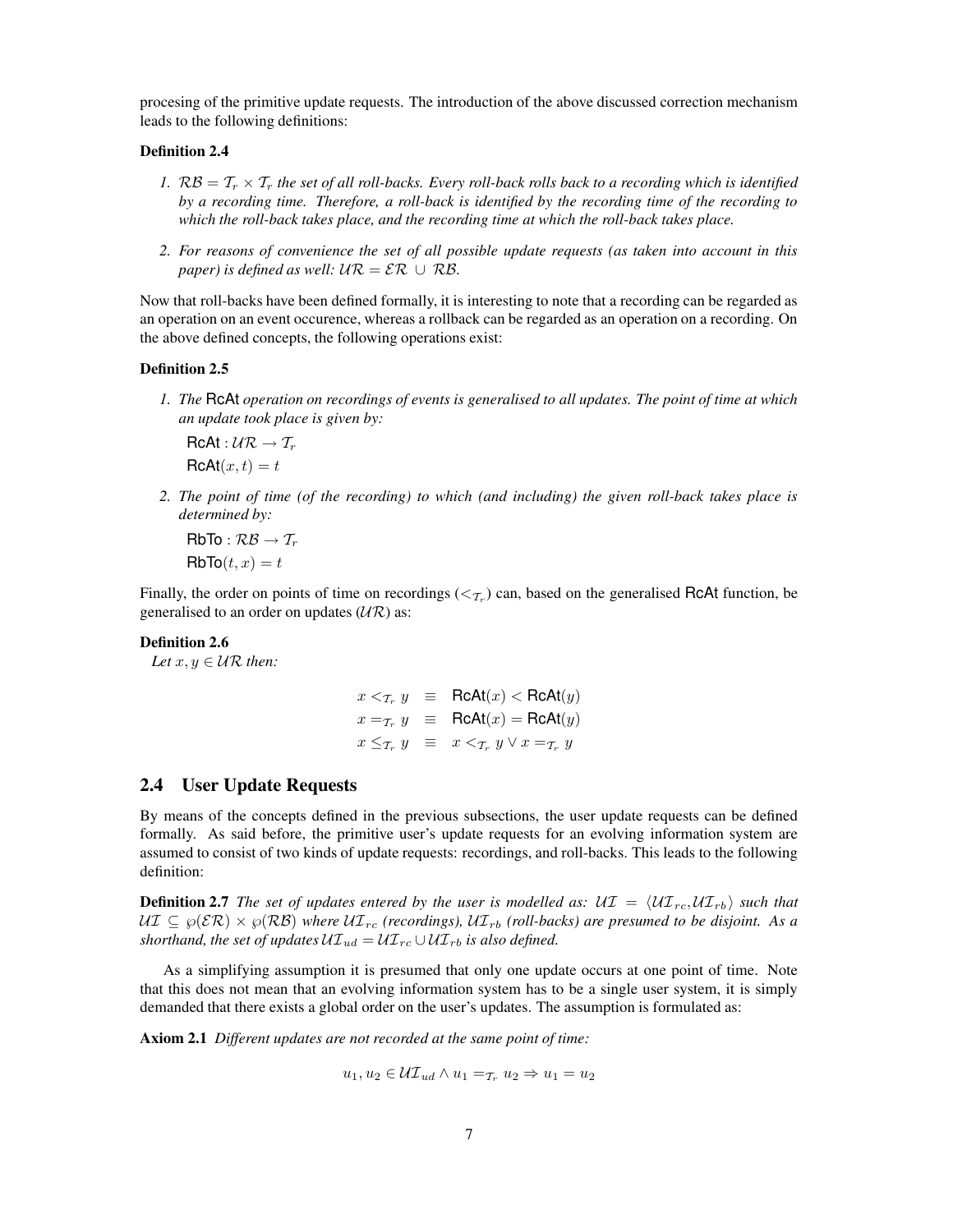procesing of the primitive update requests. The introduction of the above discussed correction mechanism leads to the following definitions:

#### **Definition 2.4**

- 1.  $R\mathcal{B} = T_r \times T_r$  *the set of all roll-backs. Every roll-back rolls back to a recording which is identified by a recording time. Therefore, a roll-back is identified by the recording time of the recording to which the roll-back takes place, and the recording time at which the roll-back takes place.*
- 2. For reasons of convenience the set of all possible update requests (as taken into account in this *paper*) *is defined as well:*  $\mathcal{UR} = \mathcal{ER} \cup \mathcal{RB}$ .

Now that roll-backs have been defined formally, it is interesting to note that a recording can be regarded as an operation on an event occurence, whereas a rollback can be regarded as an operation on a recording. On the above defined concepts, the following operations exist:

#### **Definition 2.5**

1. The RCAt operation on recordings of events is generalised to all updates. The point of time at which *an update took place is given by:*

 $RCAt : UR \rightarrow T_r$  $RcAt(x,t) = t$ 

2. The point of time (of the recording) to which (and including) the given roll-back takes place is *determined by:*

 $RbTo: RB \rightarrow T_r$  $RbTo(t, x) = t$ 

Finally, the order on points of time on recordings ( $\lt_{T_r}$ ) can, based on the generalised RcAt function, be generalised to an order on updates  $(\mathcal{U}\mathcal{R})$  as:

#### **Definition 2.6**

*Let*  $x, y \in \mathcal{UR}$  *then:* 

$$
x <_{\mathcal{T}_r} y \equiv \text{RCAt}(x) < \text{RCAt}(y)
$$
  
\n
$$
x =_{\mathcal{T}_r} y \equiv \text{RCAt}(x) = \text{RCAt}(y)
$$
  
\n
$$
x \leq_{\mathcal{T}_r} y \equiv x <_{\mathcal{T}_r} y \lor x =_{\mathcal{T}_r} y
$$

#### **2.4 User Update Requests**

By means of the concepts defined in the previous subsections, the user update requests can be defined formally. As said before, the primitive user's update requests for an evolving information system are assumed to consist of two kinds of update requests: recordings, and roll-backs. This leads to the following definition:

**Definition 2.7** The set of updates entered by the user is modelled as:  $\mathcal{UI} = \langle \mathcal{UI}_{rc}, \mathcal{UI}_{rb} \rangle$  such that  $U\mathcal{I} \subseteq \wp(\mathcal{ER}) \times \wp(\mathcal{RB})$  where  $U\mathcal{I}_{rc}$  (recordings),  $U\mathcal{I}_{rb}$  (roll-backs) are presumed to be disjoint. As a *shorthand, the set of updates*  $U\mathcal{I}_{ud} = U\mathcal{I}_{rc} \cup U\mathcal{I}_{rb}$  *is also defined.* 

As a simplifying assumption it is presumed that only one update occurs at one point of time. Note that this does not mean that an evolving information system has to be a single user system, it is simply demanded that there exists a global order on the user's updates. The assumption is formulated as:

**Axiom 2.1** *Different updates are not recorded at the same point of time:*

$$
u_1, u_2 \in \mathcal{UT}_{ud} \wedge u_1 =_{\mathcal{T}_r} u_2 \Rightarrow u_1 = u_2
$$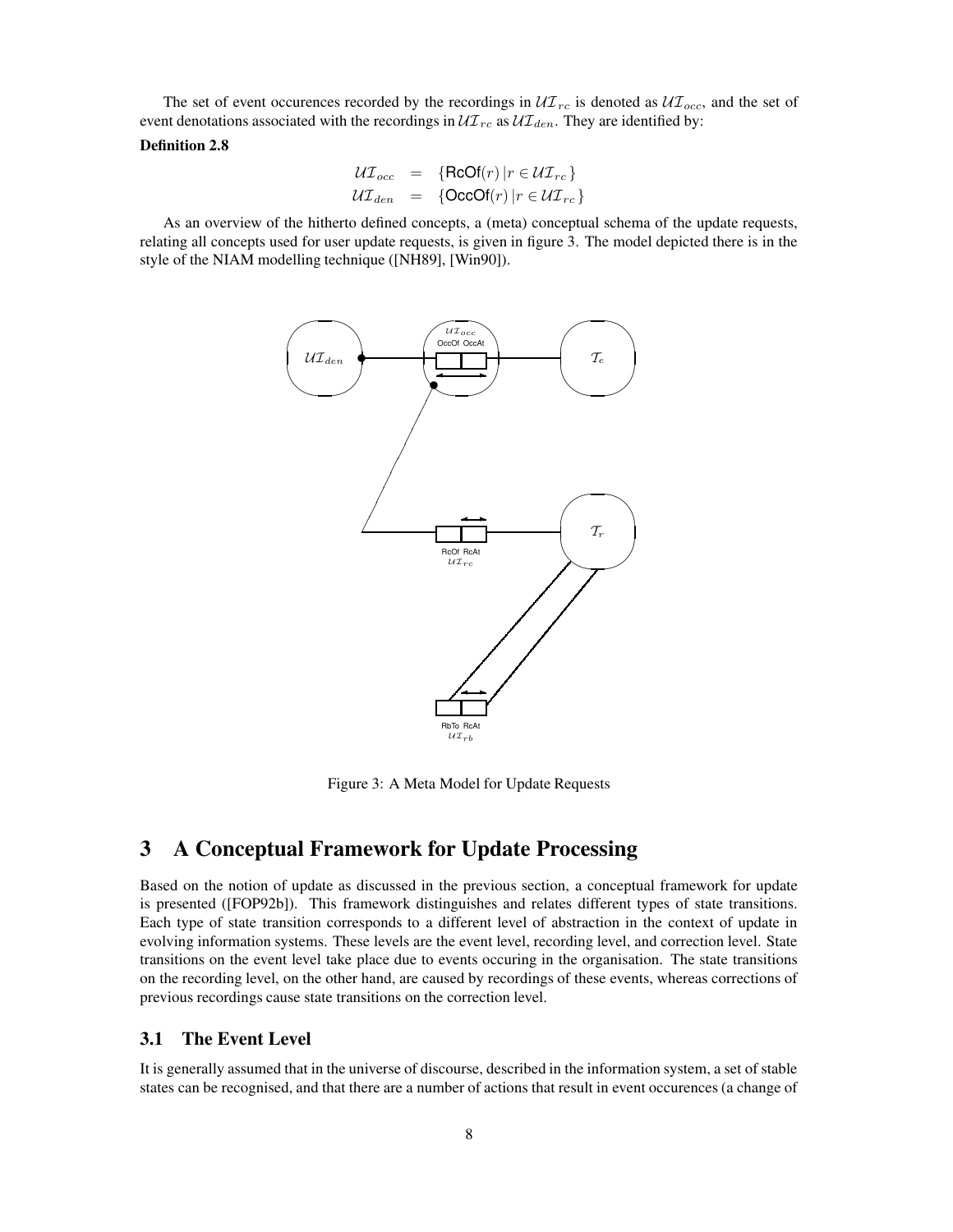The set of event occurences recorded by the recordings in  $\mathcal{U} \mathcal{I}_{rc}$  is denoted as  $\mathcal{U} \mathcal{I}_{occ}$ , and the set of event denotations associated with the recordings in  $\mathcal{UI}_{rc}$  as  $\mathcal{UI}_{den}$ . They are identified by:

### **Definition 2.8**

$$
\mathcal{UI}_{occ} = \{ReOf(r) | r \in \mathcal{UI}_{rc}\}
$$
  

$$
\mathcal{UI}_{den} = \{OccOf(r) | r \in \mathcal{UI}_{rc}\}
$$

As an overview of the hitherto defined concepts, a (meta) conceptual schema of the update requests, relating all concepts used for user update requests, is given in figure 3. The model depicted there is in the style of the NIAM modelling technique ([NH89], [Win90]).



Figure 3: A Meta Model for Update Requests

# **3 A Conceptual Framework for Update Processing**

Based on the notion of update as discussed in the previous section, a conceptual framework for update is presented ([FOP92b]). This framework distinguishes and relates different types of state transitions. Each type of state transition corresponds to a different level of abstraction in the context of update in evolving information systems. These levels are the event level, recording level, and correction level. State transitions on the event level take place due to events occuring in the organisation. The state transitions on the recording level, on the other hand, are caused by recordings of these events, whereas corrections of previous recordings cause state transitions on the correction level.

#### **3.1 The Event Level**

It is generally assumed that in the universe of discourse, described in the information system, a set of stable states can be recognised, and that there are a number of actions that result in event occurences (a change of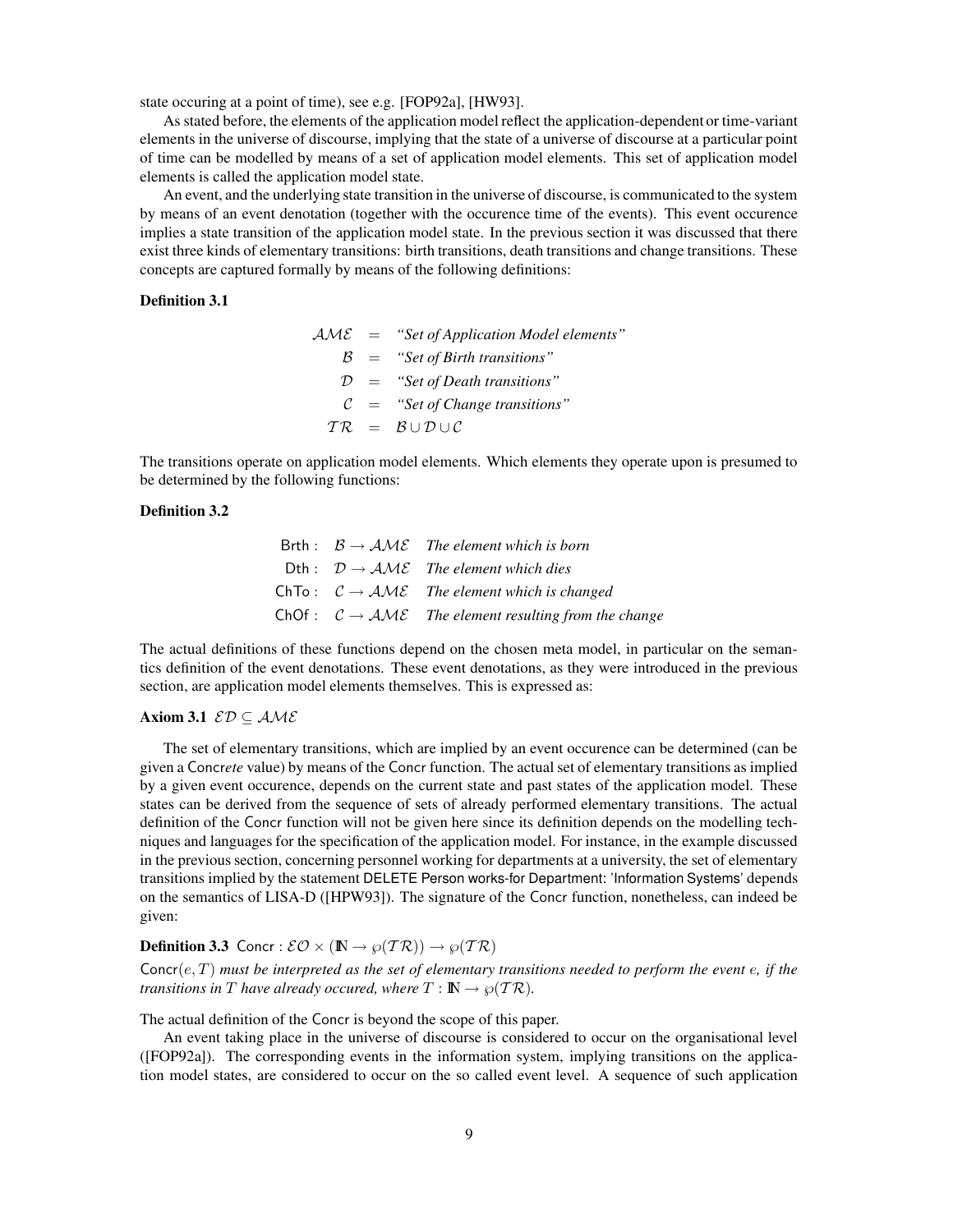state occuring at a point of time), see e.g. [FOP92a], [HW93].

As stated before, the elements of the application model reflect the application-dependent or time-variant elements in the universe of discourse, implying that the state of a universe of discourse at a particular point of time can be modelled by means of a set of application model elements. This set of application model elements is called the application model state.

An event, and the underlying state transition in the universe of discourse, is communicated to the system by means of an event denotation (together with the occurence time of the events). This event occurence implies a state transition of the application model state. In the previous section it was discussed that there exist three kinds of elementary transitions: birth transitions, death transitions and change transitions. These concepts are captured formally by means of the following definitions:

#### **Definition 3.1**

|  | $\mathcal{A} \mathcal{M} \mathcal{E}$ = "Set of Application Model elements" |
|--|-----------------------------------------------------------------------------|
|  | $\beta$ = "Set of Birth transitions"                                        |
|  | $D =$ "Set of Death transitions"                                            |
|  | $C =$ "Set of Change transitions"                                           |
|  | $TR = B \cup D \cup C$                                                      |

The transitions operate on application model elements. Which elements they operate upon is presumed to be determined by the following functions:

### **Definition 3.2**

|  | Brth : $B \rightarrow AME$ The element which is born                                       |
|--|--------------------------------------------------------------------------------------------|
|  | Dth : $\mathcal{D} \rightarrow \mathcal{A} \mathcal{M} \mathcal{E}$ The element which dies |
|  | ChTo : $\mathcal{C} \rightarrow \mathcal{AME}$ The element which is changed                |
|  | ChOf : $C \rightarrow \mathcal{AME}$ The element resulting from the change                 |

The actual definitions of these functions depend on the chosen meta model, in particular on the semantics definition of the event denotations. These event denotations, as they were introduced in the previous section, are application model elements themselves. This is expressed as:

### **Axiom** 3.1  $ED \subseteq AME$

The set of elementary transitions, which are implied by an event occurence can be determined (can be given a Concr*ete* value) by means of the Concr function. The actual set of elementary transitions as implied by a given event occurence, depends on the current state and past states of the application model. These states can be derived from the sequence of sets of already performed elementary transitions. The actual definition of the Concr function will not be given here since its definition depends on the modelling techniques and languages for the specification of the application model. For instance, in the example discussed in the previous section, concerning personnel working for departments at a university, the set of elementary transitions implied by the statement DELETE Person works-for Department: 'Information Systems' depends on the semantics of LISA-D ([HPW93]). The signature of the Concr function, nonetheless, can indeed be given:

**Definition 3.3** Concr :  $\mathcal{EO} \times (\mathbb{N} \to \wp(T\mathcal{R})) \to \wp(T\mathcal{R})$ 

 $Concre(c, T)$  must be interpreted as the set of elementary transitions needed to perform the event e, if the *transitions* in T have already occured, where  $T : \mathbb{N} \to \wp(\mathcal{T}\mathcal{R})$ .

The actual definition of the Concr is beyond the scope of this paper.

An event taking place in the universe of discourse is considered to occur on the organisational level ([FOP92a]). The corresponding events in the information system, implying transitions on the application model states, are considered to occur on the so called event level. A sequence of such application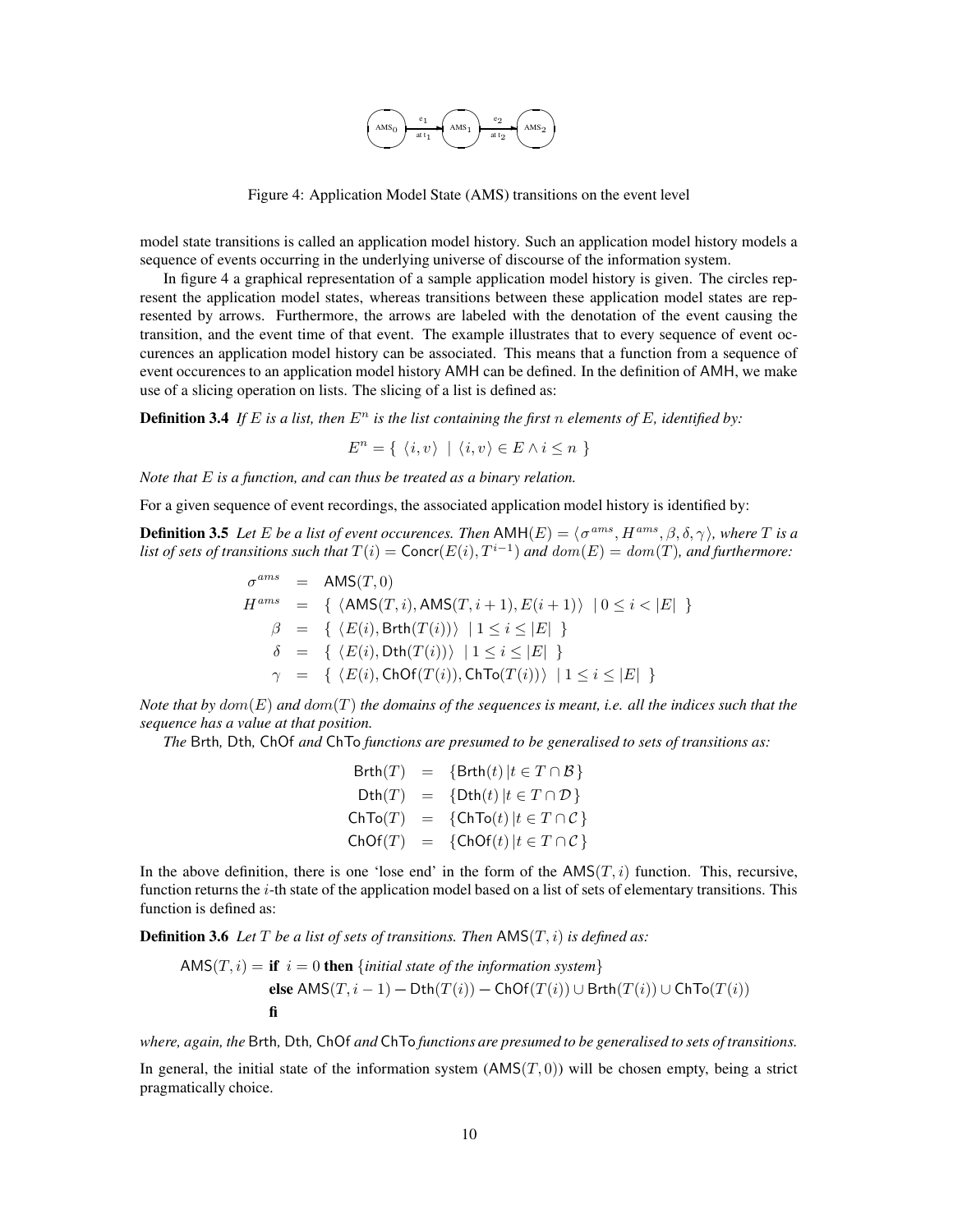

Figure 4: Application Model State (AMS) transitions on the event level

model state transitions is called an application model history. Such an application model history models a sequence of events occurring in the underlying universe of discourse of the information system.

In figure 4 a graphical representation of a sample application model history is given. The circles represent the application model states, whereas transitions between these application model states are represented by arrows. Furthermore, the arrows are labeled with the denotation of the event causing the transition, and the event time of that event. The example illustrates that to every sequence of event occurences an application model history can be associated. This means that a function from a sequence of event occurences to an application model history AMH can be defined. In the definition of AMH, we make use of a slicing operation on lists. The slicing of a list is defined as:

**Definition 3.4** If E is a list, then  $E^n$  is the list containing the first n elements of E, identified by:

$$
E^n = \{ \langle i, v \rangle \mid \langle i, v \rangle \in E \land i \leq n \}
$$

*Note that* E *is a function, and can thus be treated as a binary relation.*

For a given sequence of event recordings, the associated application model history is identified by:

**Definition 3.5** Let E be a list of event occurences. Then  $AMH(E) = \langle \sigma^{ams}, H^{ams}, \beta, \delta, \gamma \rangle$ , where T is a *list of sets of transitions such that*  $T(i) = \text{Concr}(E(i), T^{i-1})$  *and*  $dom(E) = dom(T)$ *, and furthermore:* 

$$
\sigma^{ams} = \text{AMS}(T, 0)
$$
\n
$$
H^{ams} = \{ \langle \text{AMS}(T, i), \text{AMS}(T, i+1), E(i+1) \rangle \mid 0 \le i < |E| \}
$$
\n
$$
\beta = \{ \langle E(i), \text{Brth}(T(i)) \rangle \mid 1 \le i \le |E| \}
$$
\n
$$
\delta = \{ \langle E(i), \text{Dth}(T(i)) \rangle \mid 1 \le i \le |E| \}
$$
\n
$$
\gamma = \{ \langle E(i), \text{ChOf}(T(i)), \text{ChTo}(T(i)) \rangle \mid 1 \le i \le |E| \}
$$

Note that by  $dom(E)$  and  $dom(T)$  the domains of the sequences is meant, i.e. all the indices such that the *sequence has a value at that position.*

*The* Brth*,* Dth*,* ChOf *and* ChTo *functions are presumed to be generalised to sets of transitions as:*

$$
\begin{array}{rcl}\n\text{Brth}(T) & = & \{\text{Brth}(t) \mid t \in T \cap \mathcal{B}\} \\
\text{Dth}(T) & = & \{\text{Dth}(t) \mid t \in T \cap \mathcal{D}\} \\
\text{ChTo}(T) & = & \{\text{ChTo}(t) \mid t \in T \cap \mathcal{C}\} \\
\text{ChOf}(T) & = & \{\text{ChOf}(t) \mid t \in T \cap \mathcal{C}\}\n\end{array}
$$

In the above definition, there is one 'lose end' in the form of the  $AMS(T, i)$  function. This, recursive, function returns the  $i$ -th state of the application model based on a list of sets of elementary transitions. This function is defined as:

**Definition 3.6** *Let*  $T$  *be a list of sets of transitions. Then*  $\text{AMS}(T, i)$  *is defined as:* 

$$
\begin{aligned} \text{AMS}(T,i) = \textbf{if} \hspace{0.2cm} i = 0 \textbf{ then } \{ \textit{initial state of the information system} \} \\ \textbf{else} \hspace{0.2cm} \text{AMS}(T,i-1) - \text{Dth}(T(i)) - \text{ChOf}(T(i)) \cup \text{Brth}(T(i)) \cup \text{ChTo}(T(i)) \\ \textbf{fi} \end{aligned}
$$

*where, again, the* Brth*,* Dth*,* ChOf *and* ChTo *functions are presumed to be generalised to sets of transitions.*

In general, the initial state of the information system  $(AMS(T, 0))$  will be chosen empty, being a strict pragmatically choice.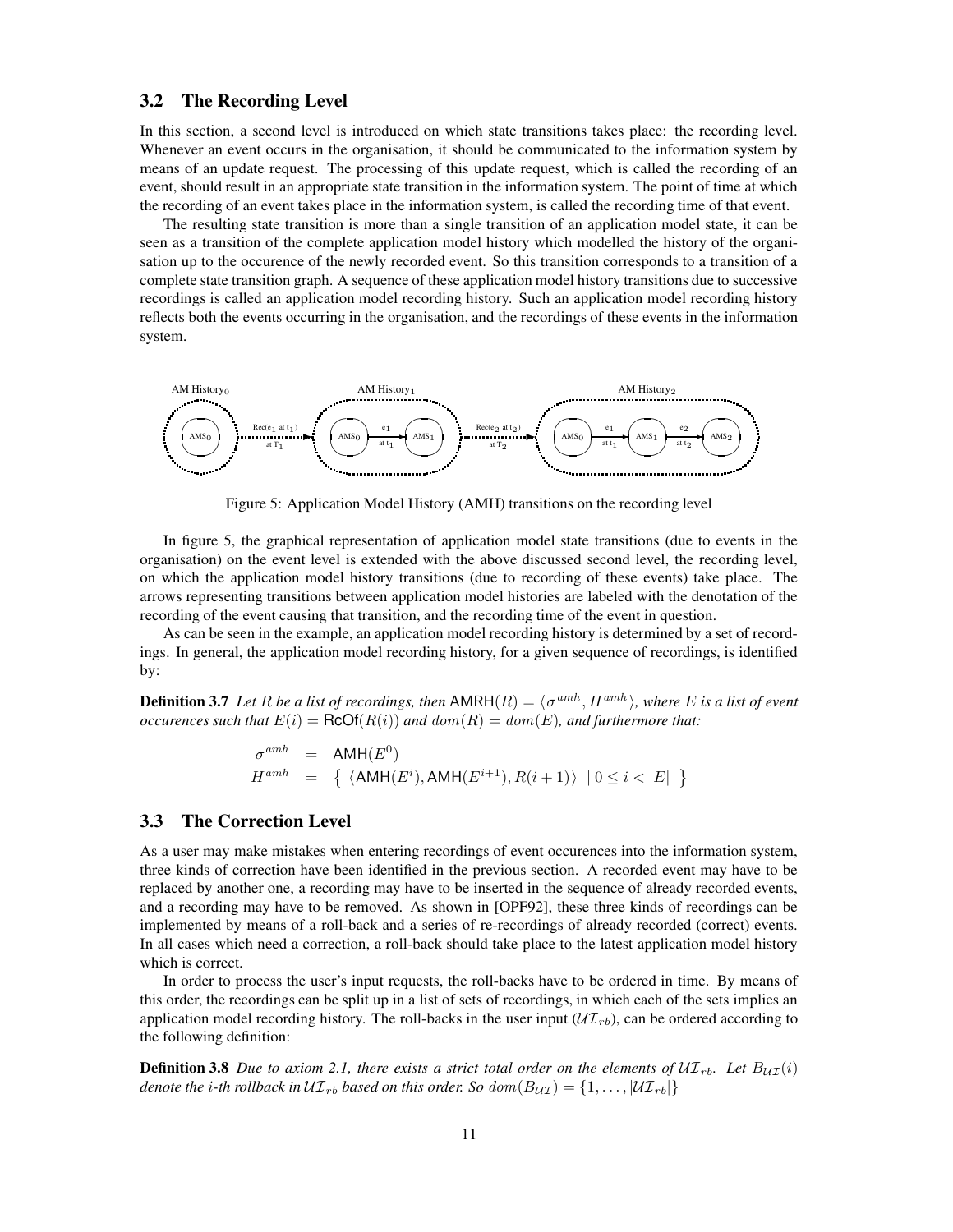#### **3.2 The Recording Level**

In this section, a second level is introduced on which state transitions takes place: the recording level. Whenever an event occurs in the organisation, it should be communicated to the information system by means of an update request. The processing of this update request, which is called the recording of an event, should result in an appropriate state transition in the information system. The point of time at which the recording of an event takes place in the information system, is called the recording time of that event.

The resulting state transition is more than a single transition of an application model state, it can be seen as a transition of the complete application model history which modelled the history of the organisation up to the occurence of the newly recorded event. So this transition corresponds to a transition of a complete state transition graph. A sequence of these application model history transitions due to successive recordings is called an application model recording history. Such an application model recording history reflects both the events occurring in the organisation, and the recordings of these events in the information system.



Figure 5: Application Model History (AMH) transitions on the recording level

In figure 5, the graphical representation of application model state transitions (due to events in the organisation) on the event level is extended with the above discussed second level, the recording level, on which the application model history transitions (due to recording of these events) take place. The arrows representing transitions between application model histories are labeled with the denotation of the recording of the event causing that transition, and the recording time of the event in question.

As can be seen in the example, an application model recording history is determined by a set of recordings. In general, the application model recording history, for a given sequence of recordings, is identified by:

**Definition 3.7** Let R be a list of recordings, then  $AMRH(R) = \langle \sigma^{amh}, H^{amh} \rangle$ , where E is a list of event *occurences such that*  $E(i) = \text{RCOf}(R(i))$  *and*  $dom(R) = dom(E)$ *, and furthermore that:* 

$$
\sigma^{amh} = \text{AMH}(E^0)
$$
  

$$
H^{amh} = \{ \langle \text{AMH}(E^i), \text{AMH}(E^{i+1}), R(i+1) \rangle \mid 0 \le i < |E| \}
$$

### **3.3 The Correction Level**

As a user may make mistakes when entering recordings of event occurences into the information system, three kinds of correction have been identified in the previous section. A recorded event may have to be replaced by another one, a recording may have to be inserted in the sequence of already recorded events, and a recording may have to be removed. As shown in [OPF92], these three kinds of recordings can be implemented by means of a roll-back and a series of re-recordings of already recorded (correct) events. In all cases which need a correction, a roll-back should take place to the latest application model history which is correct.

In order to process the user's input requests, the roll-backs have to be ordered in time. By means of this order, the recordings can be split up in a list of sets of recordings, in which each of the sets implies an application model recording history. The roll-backs in the user input  $(\mathcal{UT}_r)_b$ , can be ordered according to the following definition:

**Definition 3.8** Due to axiom 2.1, there exists a strict total order on the elements of  $U\mathcal{I}_{rb}$ . Let  $B_{U\mathcal{I}}(i)$ *denote the i*-th *rollback in*  $UT_{rb}$  *based on this order. So*  $dom(B_{UT}) = \{1, ..., |UT_{rb}|\}$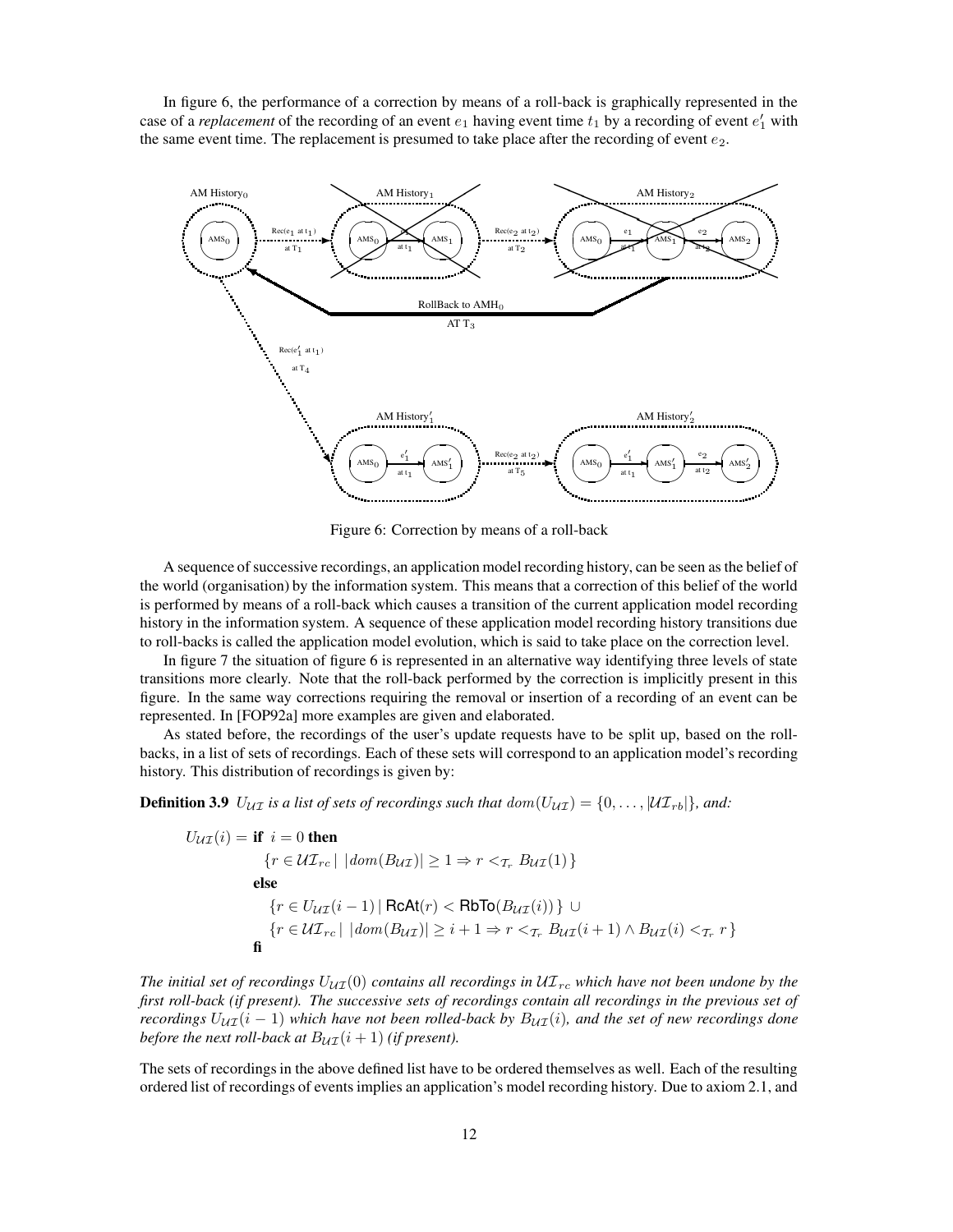In figure 6, the performance of a correction by means of a roll-back is graphically represented in the case of a *replacement* of the recording of an event  $e_1$  having event time  $t_1$  by a recording of event  $e'_1$  with the same event time. The replacement is presumed to take place after the recording of event  $e_2$ .



Figure 6: Correction by means of a roll-back

A sequence of successive recordings, an application model recording history, can be seen as the belief of the world (organisation) by the information system. This means that a correction of this belief of the world is performed by means of a roll-back which causes a transition of the current application model recording history in the information system. A sequence of these application model recording history transitions due to roll-backs is called the application model evolution, which is said to take place on the correction level.

In figure 7 the situation of figure 6 is represented in an alternative way identifying three levels of state transitions more clearly. Note that the roll-back performed by the correction is implicitly present in this figure. In the same way corrections requiring the removal or insertion of a recording of an event can be represented. In [FOP92a] more examples are given and elaborated.

As stated before, the recordings of the user's update requests have to be split up, based on the rollbacks, in a list of sets of recordings. Each of these sets will correspond to an application model's recording history. This distribution of recordings is given by:

**Definition 3.9**  $U_{\mathcal{U}\mathcal{I}}$  is a list of sets of recordings such that  $dom(U_{\mathcal{U}\mathcal{I}}) = \{0, \ldots, |\mathcal{U}\mathcal{I}_{rb}|\}$ , and:

$$
U_{\mathcal{U}\mathcal{I}}(i) = \text{if } i = 0 \text{ then}
$$
\n
$$
\{r \in \mathcal{U}\mathcal{I}_{rc} \mid |dom(B_{\mathcal{U}\mathcal{I}})| \ge 1 \Rightarrow r <_{\mathcal{T}_r} B_{\mathcal{U}\mathcal{I}}(1)\}
$$
\nelse\n
$$
\{r \in U_{\mathcal{U}\mathcal{I}}(i-1) \mid \text{RcAt}(r) < \text{RbTo}(B_{\mathcal{U}\mathcal{I}}(i))\} \cup
$$
\n
$$
\{r \in \mathcal{U}\mathcal{I}_{rc} \mid |dom(B_{\mathcal{U}\mathcal{I}})| \ge i+1 \Rightarrow r <_{\mathcal{T}_r} B_{\mathcal{U}\mathcal{I}}(i+1) \land B_{\mathcal{U}\mathcal{I}}(i) <_{\mathcal{T}_r} r\}
$$

*The initial set of recordings*  $U_{\mathcal{U}}(0)$  *contains all recordings in*  $\mathcal{U}T_{rc}$  *which have not been undone by the* first roll-back (if present). The successive sets of recordings contain all recordings in the previous set of *recordings*  $U_{\mathcal{U}}(i-1)$  *which have not been rolled-back by*  $B_{\mathcal{U}}(i)$ *, and the set of new recordings done before the next roll-back at*  $B_{\mathcal{U}\mathcal{I}}(i+1)$  *(if present).* 

The sets of recordings in the above defined list have to be ordered themselves as well. Each of the resulting ordered list of recordings of events implies an application's model recording history. Due to axiom 2.1, and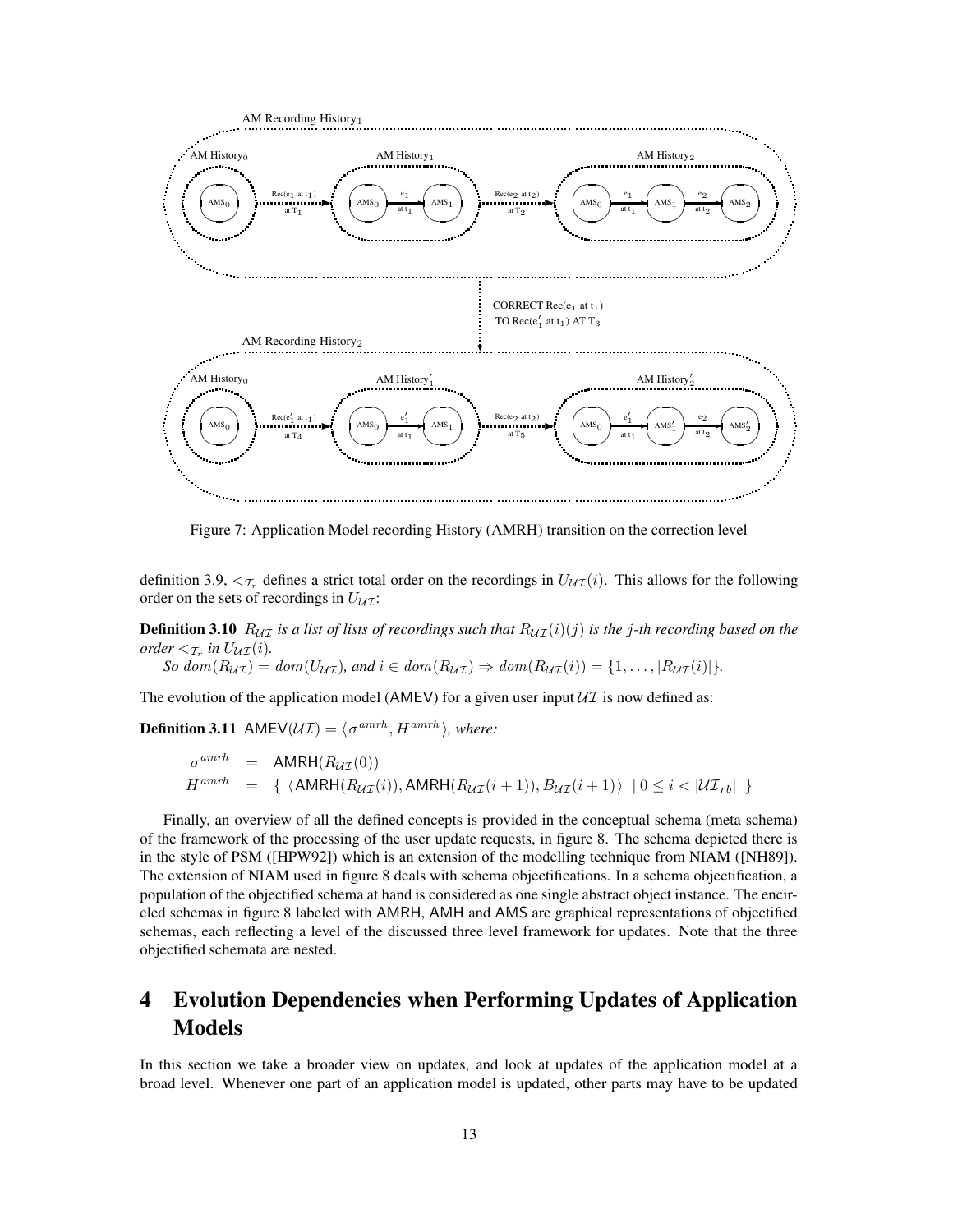

Figure 7: Application Model recording History (AMRH) transition on the correction level

definition 3.9,  $\langle \tau_r$  defines a strict total order on the recordings in  $U_{\mathcal{U}}(i)$ . This allows for the following order on the sets of recordings in  $U_{UU}$ :

**Definition 3.10**  $R_{UI}$  is a list of lists of recordings such that  $R_{UI}(i)(j)$  is the j-th recording based on the *order*  $\lt_{\mathcal{T}_r}$  *in*  $U_{\mathcal{UI}}(i)$ *.* 

 $So \text{ dom}(R_{\mathcal{U}\mathcal{I}}) = \text{dom}(U_{\mathcal{U}\mathcal{I}})$ , and  $i \in \text{dom}(R_{\mathcal{U}\mathcal{I}}) \Rightarrow \text{dom}(R_{\mathcal{U}\mathcal{I}}(i)) = \{1, \ldots, |R_{\mathcal{U}\mathcal{I}}(i)|\}.$ 

The evolution of the application model (AMEV) for a given user input  $\mathcal{U}I$  is now defined as:

**Definition 3.11** AMEV( $\mathcal{U}\mathcal{I}$ ) =  $\langle \sigma^{amrh}, H^{amrh} \rangle$ , where:

$$
\sigma^{amrh} = \text{AMRH}(R_{\mathcal{U}\mathcal{I}}(0))
$$
  

$$
H^{amrh} = \{ \langle \text{AMRH}(R_{\mathcal{U}\mathcal{I}}(i)), \text{AMRH}(R_{\mathcal{U}\mathcal{I}}(i+1)), B_{\mathcal{U}\mathcal{I}}(i+1) \rangle \mid 0 \le i < |\mathcal{U}\mathcal{I}_{rb}| \}
$$

Finally, an overview of all the defined concepts is provided in the conceptual schema (meta schema) of the framework of the processing of the user update requests, in figure 8. The schema depicted there is in the style of PSM ([HPW92]) which is an extension of the modelling technique from NIAM ([NH89]). The extension of NIAM used in figure 8 deals with schema objectifications. In a schema objectification, a population of the objectified schema at hand is considered as one single abstract object instance. The encircled schemas in figure 8 labeled with AMRH, AMH and AMS are graphical representations of objectified schemas, each reflecting a level of the discussed three level framework for updates. Note that the three objectified schemata are nested.

# **4 Evolution Dependencies when Performing Updates of Application Models**

In this section we take a broader view on updates, and look at updates of the application model at a broad level. Whenever one part of an application model is updated, other parts may have to be updated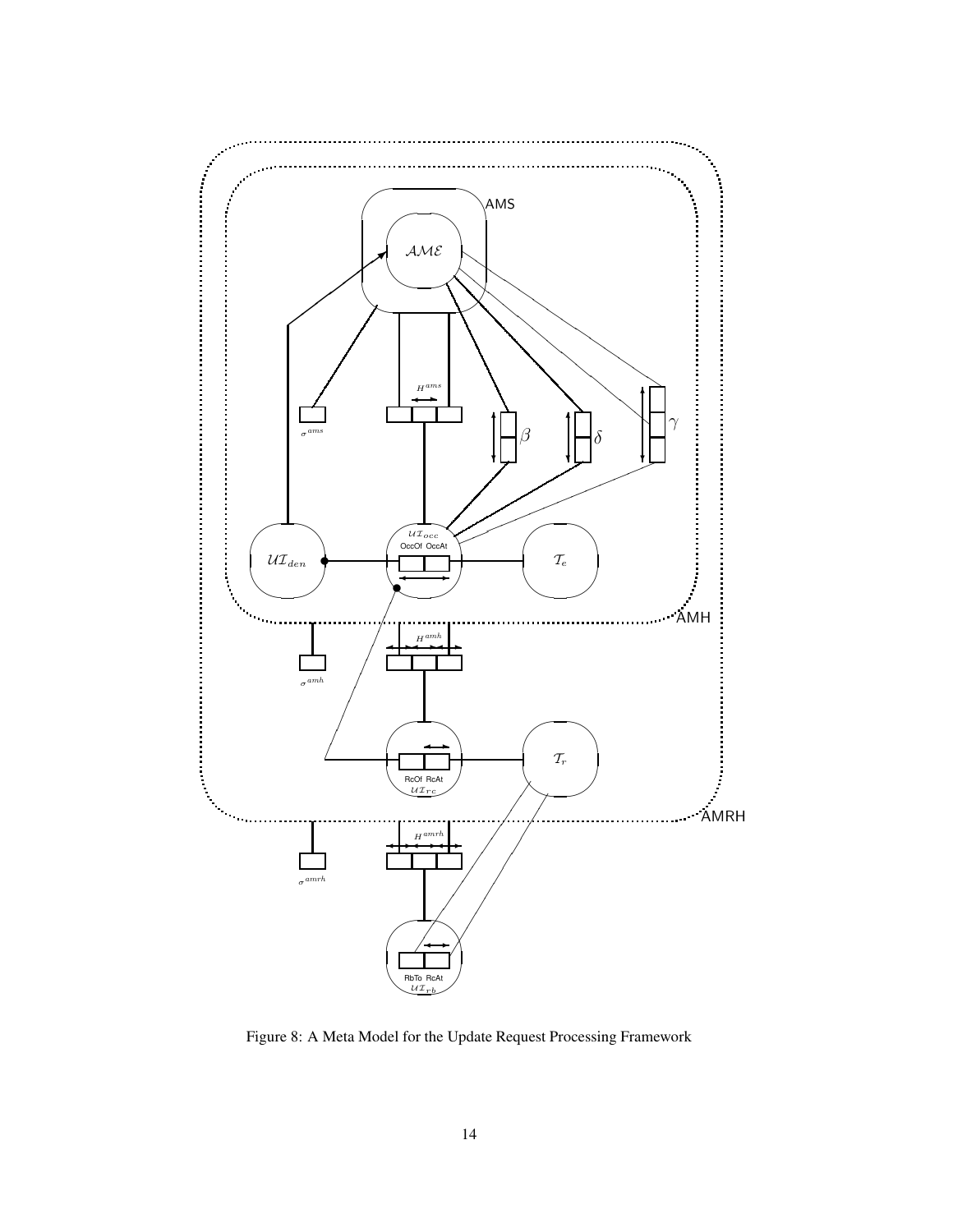

Figure 8: A Meta Model for the Update Request Processing Framework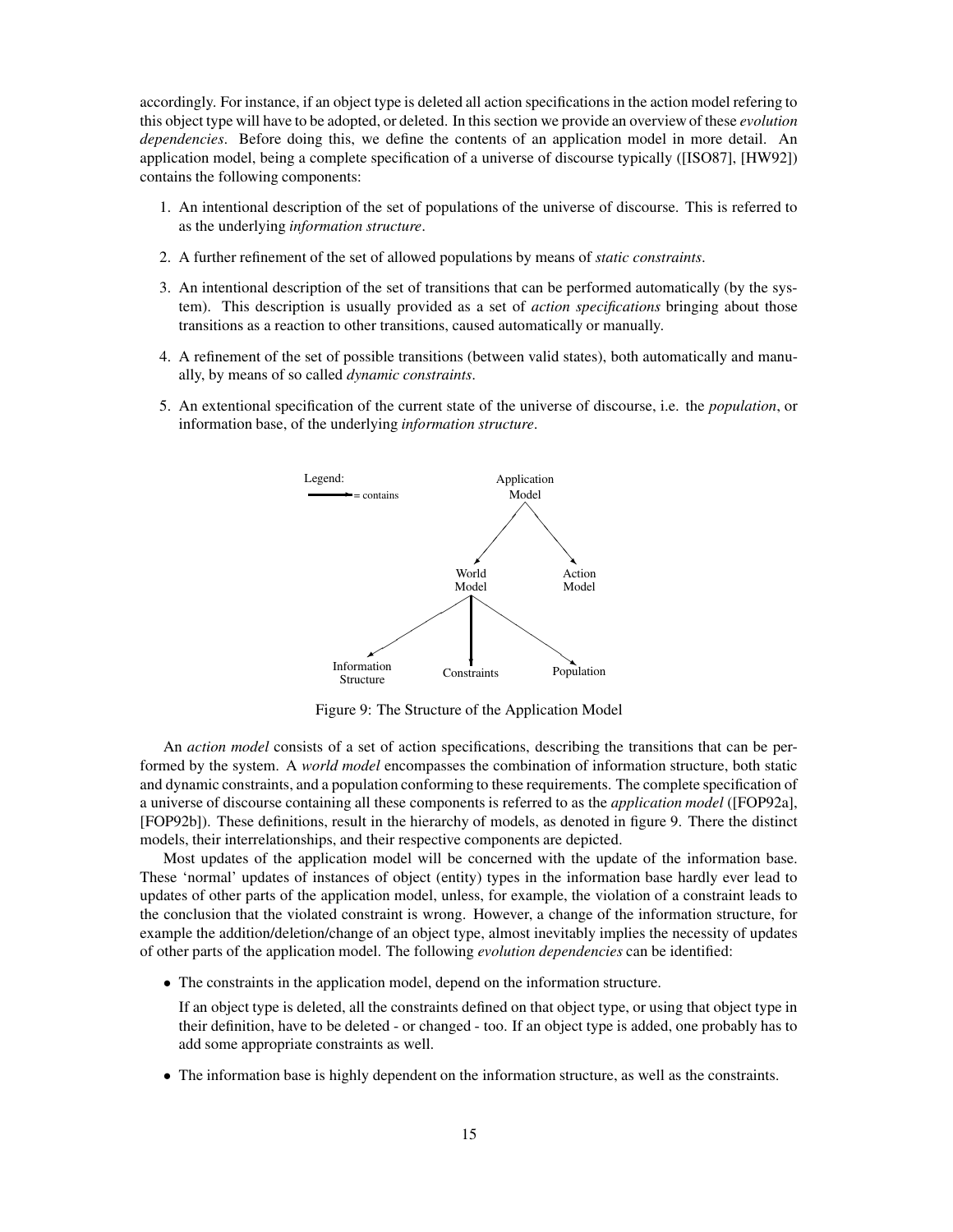accordingly. For instance, if an object type is deleted all action specifications in the action model refering to this object type will have to be adopted, or deleted. In this section we provide an overview of these *evolution dependencies*. Before doing this, we define the contents of an application model in more detail. An application model, being a complete specification of a universe of discourse typically ([ISO87], [HW92]) contains the following components:

- 1. An intentional description of the set of populations of the universe of discourse. This is referred to as the underlying *information structure*.
- 2. A further refinement of the set of allowed populations by means of *static constraints*.
- 3. An intentional description of the set of transitions that can be performed automatically (by the system). This description is usually provided as a set of *action specifications* bringing about those transitions as a reaction to other transitions, caused automatically or manually.
- 4. A refinement of the set of possible transitions (between valid states), both automatically and manually, by means of so called *dynamic constraints*.
- 5. An extentional specification of the current state of the universe of discourse, i.e. the *population*, or information base, of the underlying *information structure*.



Figure 9: The Structure of the Application Model

An *action model* consists of a set of action specifications, describing the transitions that can be performed by the system. A *world model* encompasses the combination of information structure, both static and dynamic constraints, and a population conforming to these requirements. The complete specification of a universe of discourse containing all these components is referred to as the *application model* ([FOP92a], [FOP92b]). These definitions, result in the hierarchy of models, as denoted in figure 9. There the distinct models, their interrelationships, and their respective components are depicted.

Most updates of the application model will be concerned with the update of the information base. These 'normal' updates of instances of object (entity) types in the information base hardly ever lead to updates of other parts of the application model, unless, for example, the violation of a constraint leads to the conclusion that the violated constraint is wrong. However, a change of the information structure, for example the addition/deletion/change of an object type, almost inevitably implies the necessity of updates of other parts of the application model. The following *evolution dependencies* can be identified:

• The constraints in the application model, depend on the information structure.

If an object type is deleted, all the constraints defined on that object type, or using that object type in their definition, have to be deleted - or changed - too. If an object type is added, one probably has to add some appropriate constraints as well.

• The information base is highly dependent on the information structure, as well as the constraints.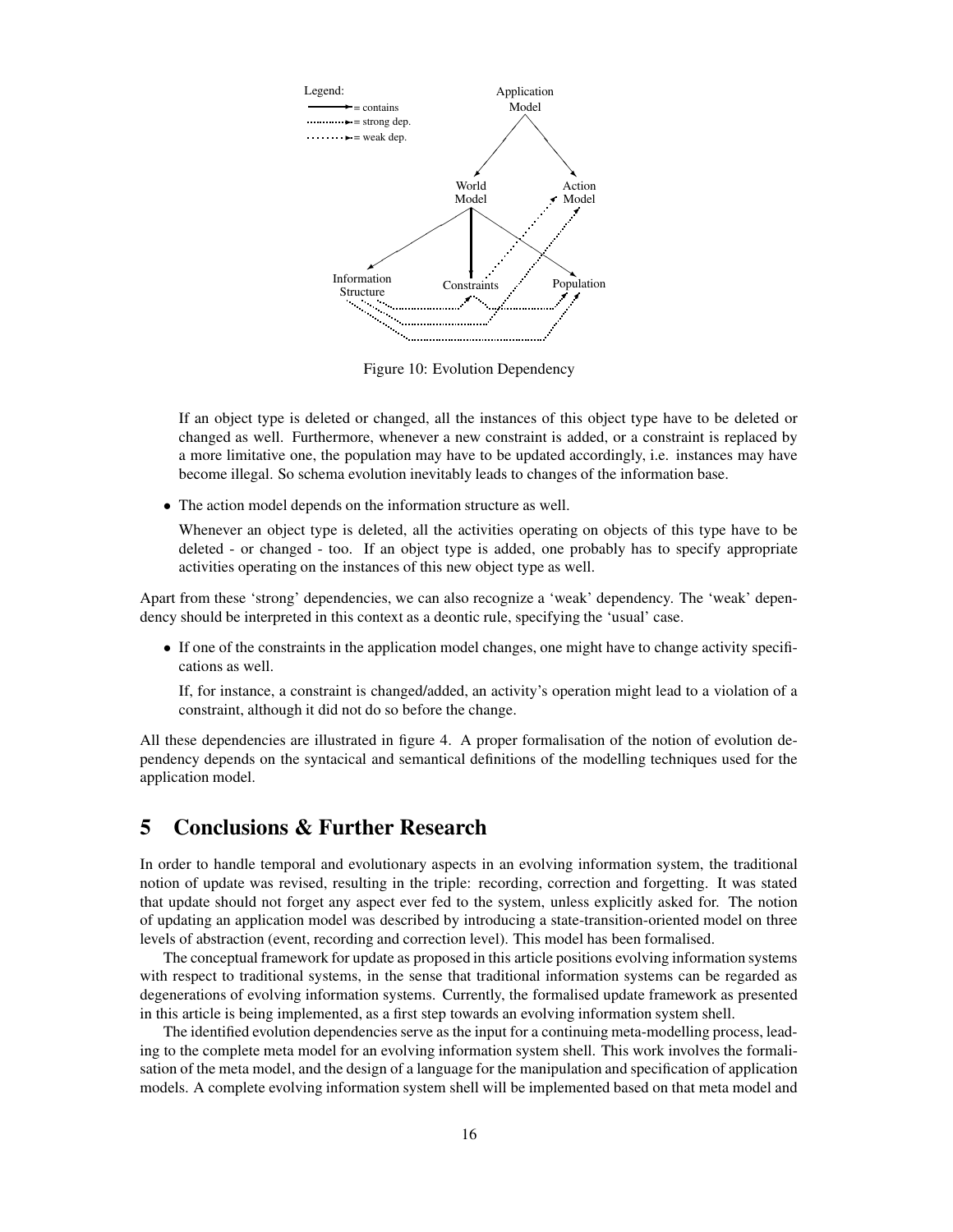

Figure 10: Evolution Dependency

If an object type is deleted or changed, all the instances of this object type have to be deleted or changed as well. Furthermore, whenever a new constraint is added, or a constraint is replaced by a more limitative one, the population may have to be updated accordingly, i.e. instances may have become illegal. So schema evolution inevitably leads to changes of the information base.

• The action model depends on the information structure as well.

Whenever an object type is deleted, all the activities operating on objects of this type have to be deleted - or changed - too. If an object type is added, one probably has to specify appropriate activities operating on the instances of this new object type as well.

Apart from these 'strong' dependencies, we can also recognize a 'weak' dependency. The 'weak' dependency should be interpreted in this context as a deontic rule, specifying the 'usual' case.

• If one of the constraints in the application model changes, one might have to change activity specifications as well.

If, for instance, a constraint is changed/added, an activity's operation might lead to a violation of a constraint, although it did not do so before the change.

All these dependencies are illustrated in figure 4. A proper formalisation of the notion of evolution dependency depends on the syntacical and semantical definitions of the modelling techniques used for the application model.

## **5 Conclusions & Further Research**

In order to handle temporal and evolutionary aspects in an evolving information system, the traditional notion of update was revised, resulting in the triple: recording, correction and forgetting. It was stated that update should not forget any aspect ever fed to the system, unless explicitly asked for. The notion of updating an application model was described by introducing a state-transition-oriented model on three levels of abstraction (event, recording and correction level). This model has been formalised.

The conceptual framework for update as proposed in this article positions evolving information systems with respect to traditional systems, in the sense that traditional information systems can be regarded as degenerations of evolving information systems. Currently, the formalised update framework as presented in this article is being implemented, as a first step towards an evolving information system shell.

The identified evolution dependencies serve as the input for a continuing meta-modelling process, leading to the complete meta model for an evolving information system shell. This work involves the formalisation of the meta model, and the design of a language for the manipulation and specification of application models. A complete evolving information system shell will be implemented based on that meta model and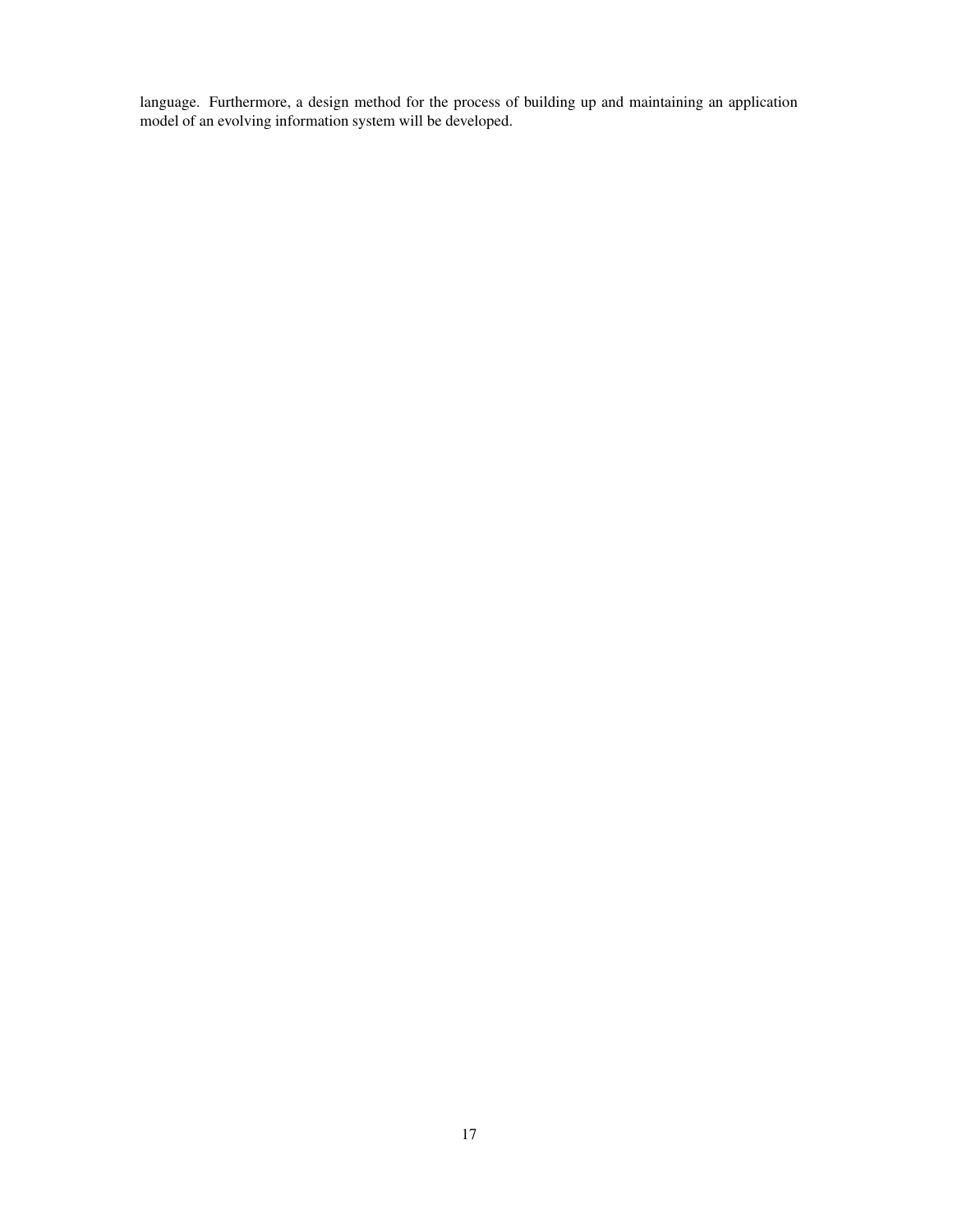language. Furthermore, a design method for the process of building up and maintaining an application model of an evolving information system will be developed.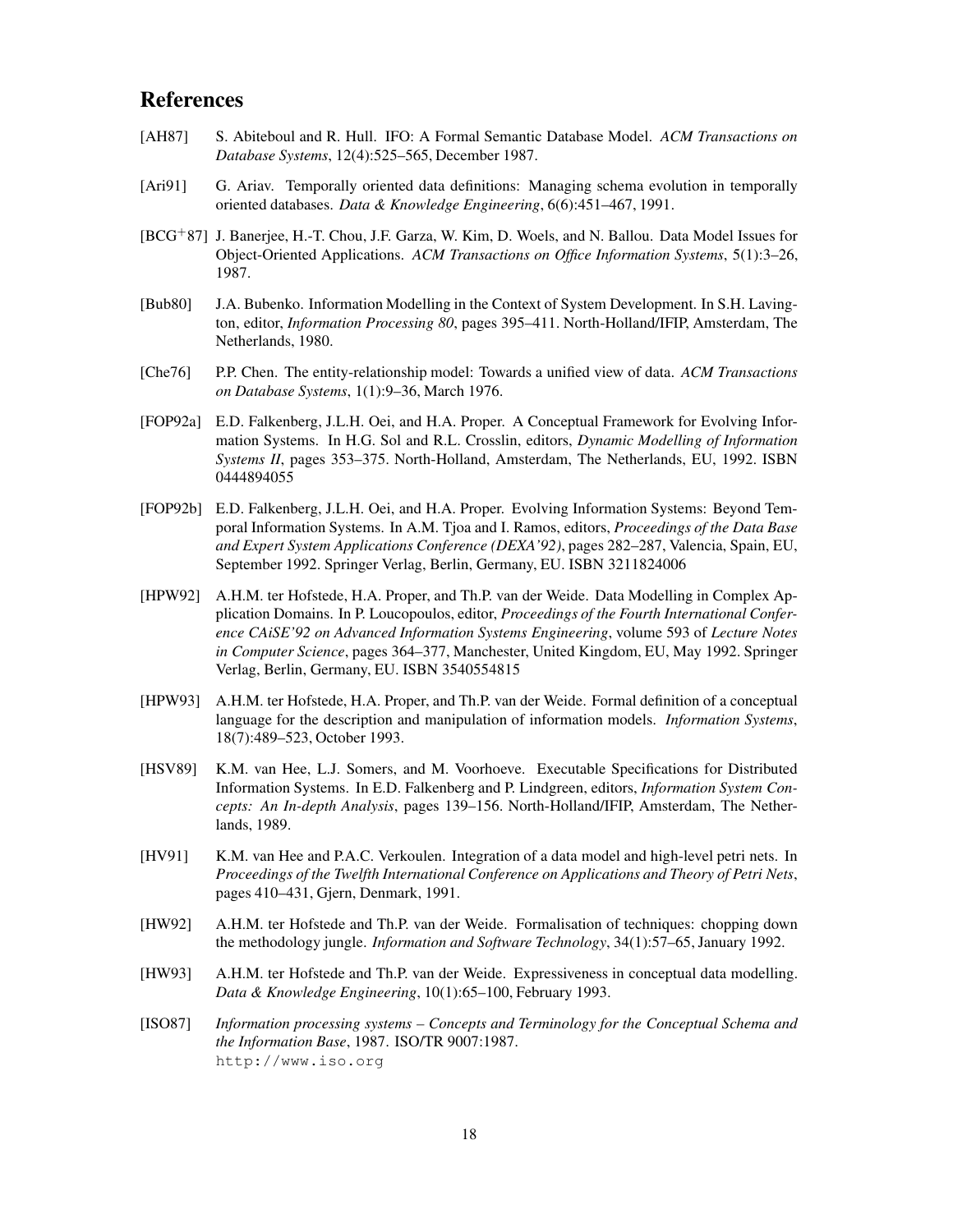### **References**

- [AH87] S. Abiteboul and R. Hull. IFO: A Formal Semantic Database Model. *ACM Transactions on Database Systems*, 12(4):525–565, December 1987.
- [Ari91] G. Ariav. Temporally oriented data definitions: Managing schema evolution in temporally oriented databases. *Data & Knowledge Engineering*, 6(6):451–467, 1991.
- [BCG<sup>+</sup>87] J. Banerjee, H.-T. Chou, J.F. Garza, W. Kim, D. Woels, and N. Ballou. Data Model Issues for Object-Oriented Applications. *ACM Transactions on Office Information Systems*, 5(1):3–26, 1987.
- [Bub80] J.A. Bubenko. Information Modelling in the Context of System Development. In S.H. Lavington, editor, *Information Processing 80*, pages 395–411. North-Holland/IFIP, Amsterdam, The Netherlands, 1980.
- [Che76] P.P. Chen. The entity-relationship model: Towards a unified view of data. *ACM Transactions on Database Systems*, 1(1):9–36, March 1976.
- [FOP92a] E.D. Falkenberg, J.L.H. Oei, and H.A. Proper. A Conceptual Framework for Evolving Information Systems. In H.G. Sol and R.L. Crosslin, editors, *Dynamic Modelling of Information Systems II*, pages 353–375. North-Holland, Amsterdam, The Netherlands, EU, 1992. ISBN 0444894055
- [FOP92b] E.D. Falkenberg, J.L.H. Oei, and H.A. Proper. Evolving Information Systems: Beyond Temporal Information Systems. In A.M. Tjoa and I. Ramos, editors, *Proceedings of the Data Base and Expert System Applications Conference (DEXA'92)*, pages 282–287, Valencia, Spain, EU, September 1992. Springer Verlag, Berlin, Germany, EU. ISBN 3211824006
- [HPW92] A.H.M. ter Hofstede, H.A. Proper, and Th.P. van der Weide. Data Modelling in Complex Application Domains. In P. Loucopoulos, editor, *Proceedings of the Fourth International Conference CAiSE'92 on Advanced Information Systems Engineering*, volume 593 of *Lecture Notes in Computer Science*, pages 364–377, Manchester, United Kingdom, EU, May 1992. Springer Verlag, Berlin, Germany, EU. ISBN 3540554815
- [HPW93] A.H.M. ter Hofstede, H.A. Proper, and Th.P. van der Weide. Formal definition of a conceptual language for the description and manipulation of information models. *Information Systems*, 18(7):489–523, October 1993.
- [HSV89] K.M. van Hee, L.J. Somers, and M. Voorhoeve. Executable Specifications for Distributed Information Systems. In E.D. Falkenberg and P. Lindgreen, editors, *Information System Concepts: An In-depth Analysis*, pages 139–156. North-Holland/IFIP, Amsterdam, The Netherlands, 1989.
- [HV91] K.M. van Hee and P.A.C. Verkoulen. Integration of a data model and high-level petri nets. In *Proceedings of the Twelfth International Conference on Applications and Theory of Petri Nets*, pages 410–431, Gjern, Denmark, 1991.
- [HW92] A.H.M. ter Hofstede and Th.P. van der Weide. Formalisation of techniques: chopping down the methodology jungle. *Information and Software Technology*, 34(1):57–65, January 1992.
- [HW93] A.H.M. ter Hofstede and Th.P. van der Weide. Expressiveness in conceptual data modelling. *Data & Knowledge Engineering*, 10(1):65–100, February 1993.
- [ISO87] *Information processing systems – Concepts and Terminology for the Conceptual Schema and the Information Base*, 1987. ISO/TR 9007:1987. http://www.iso.org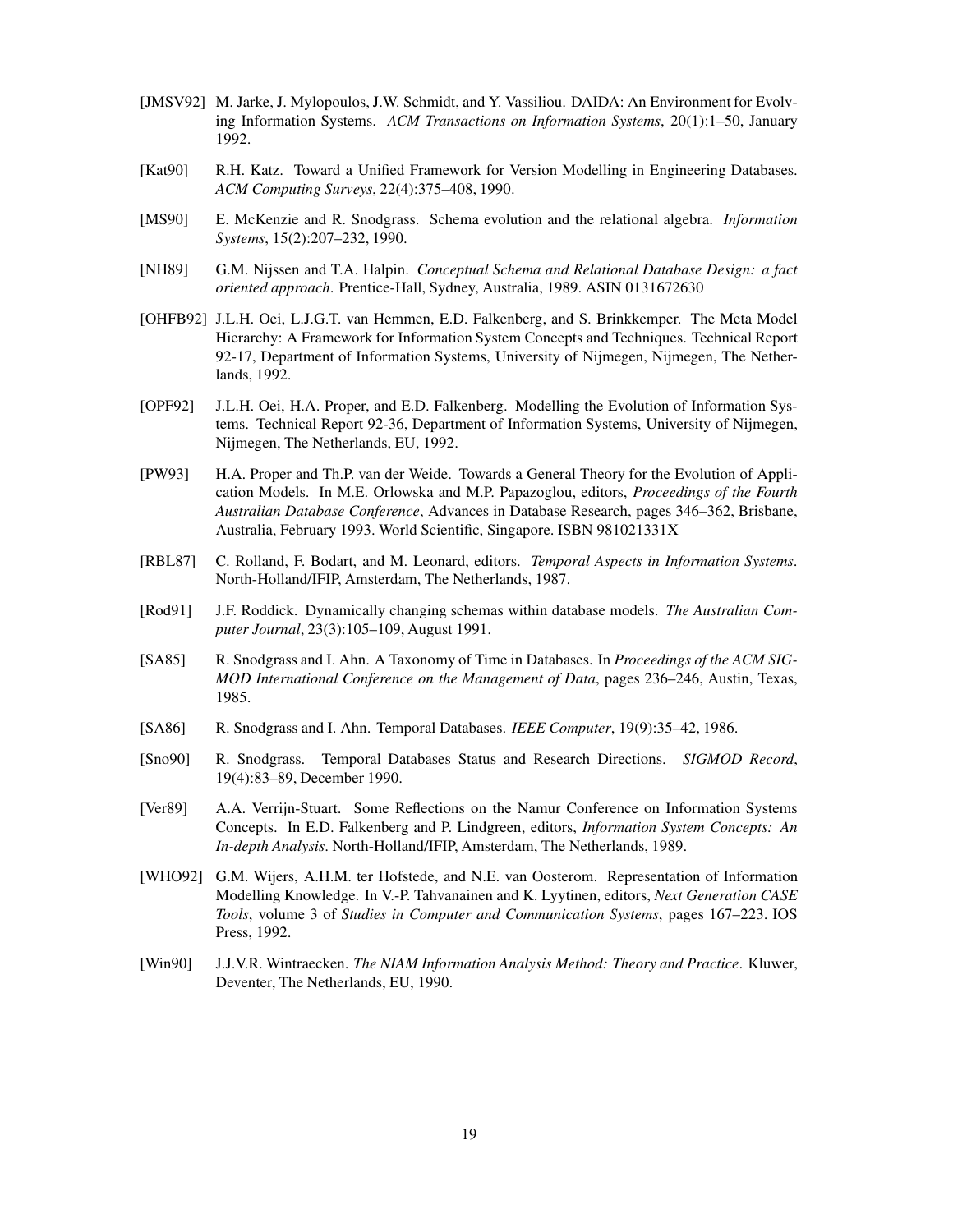- [JMSV92] M. Jarke, J. Mylopoulos, J.W. Schmidt, and Y. Vassiliou. DAIDA: An Environment for Evolving Information Systems. *ACM Transactions on Information Systems*, 20(1):1–50, January 1992.
- [Kat90] R.H. Katz. Toward a Unified Framework for Version Modelling in Engineering Databases. *ACM Computing Surveys*, 22(4):375–408, 1990.
- [MS90] E. McKenzie and R. Snodgrass. Schema evolution and the relational algebra. *Information Systems*, 15(2):207–232, 1990.
- [NH89] G.M. Nijssen and T.A. Halpin. *Conceptual Schema and Relational Database Design: a fact oriented approach*. Prentice-Hall, Sydney, Australia, 1989. ASIN 0131672630
- [OHFB92] J.L.H. Oei, L.J.G.T. van Hemmen, E.D. Falkenberg, and S. Brinkkemper. The Meta Model Hierarchy: A Framework for Information System Concepts and Techniques. Technical Report 92-17, Department of Information Systems, University of Nijmegen, Nijmegen, The Netherlands, 1992.
- [OPF92] J.L.H. Oei, H.A. Proper, and E.D. Falkenberg. Modelling the Evolution of Information Systems. Technical Report 92-36, Department of Information Systems, University of Nijmegen, Nijmegen, The Netherlands, EU, 1992.
- [PW93] H.A. Proper and Th.P. van der Weide. Towards a General Theory for the Evolution of Application Models. In M.E. Orlowska and M.P. Papazoglou, editors, *Proceedings of the Fourth Australian Database Conference*, Advances in Database Research, pages 346–362, Brisbane, Australia, February 1993. World Scientific, Singapore. ISBN 981021331X
- [RBL87] C. Rolland, F. Bodart, and M. Leonard, editors. *Temporal Aspects in Information Systems*. North-Holland/IFIP, Amsterdam, The Netherlands, 1987.
- [Rod91] J.F. Roddick. Dynamically changing schemas within database models. *The Australian Computer Journal*, 23(3):105–109, August 1991.
- [SA85] R. Snodgrass and I. Ahn. A Taxonomy of Time in Databases. In *Proceedings of the ACM SIG-MOD International Conference on the Management of Data*, pages 236–246, Austin, Texas, 1985.
- [SA86] R. Snodgrass and I. Ahn. Temporal Databases. *IEEE Computer*, 19(9):35–42, 1986.
- [Sno90] R. Snodgrass. Temporal Databases Status and Research Directions. *SIGMOD Record*, 19(4):83–89, December 1990.
- [Ver89] A.A. Verrijn-Stuart. Some Reflections on the Namur Conference on Information Systems Concepts. In E.D. Falkenberg and P. Lindgreen, editors, *Information System Concepts: An In-depth Analysis*. North-Holland/IFIP, Amsterdam, The Netherlands, 1989.
- [WHO92] G.M. Wijers, A.H.M. ter Hofstede, and N.E. van Oosterom. Representation of Information Modelling Knowledge. In V.-P. Tahvanainen and K. Lyytinen, editors, *Next Generation CASE Tools*, volume 3 of *Studies in Computer and Communication Systems*, pages 167–223. IOS Press, 1992.
- [Win90] J.J.V.R. Wintraecken. *The NIAM Information Analysis Method: Theory and Practice*. Kluwer, Deventer, The Netherlands, EU, 1990.